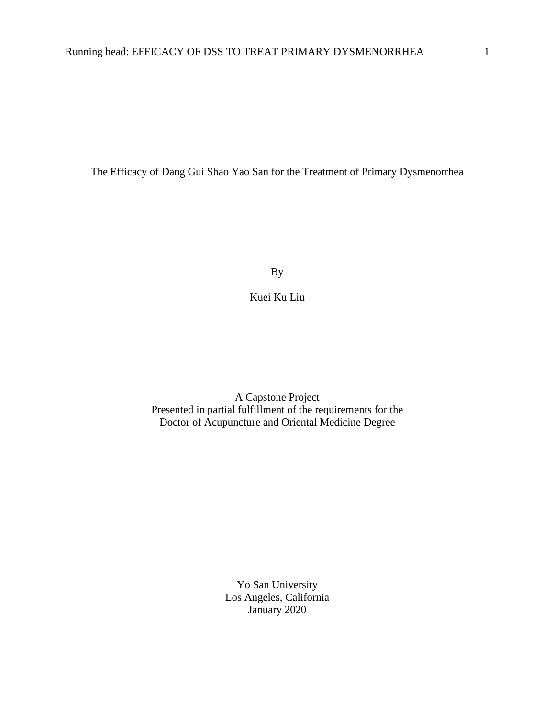The Efficacy of Dang Gui Shao Yao San for the Treatment of Primary Dysmenorrhea

By

Kuei Ku Liu

A Capstone Project Presented in partial fulfillment of the requirements for the Doctor of Acupuncture and Oriental Medicine Degree

> Yo San University Los Angeles, California January 2020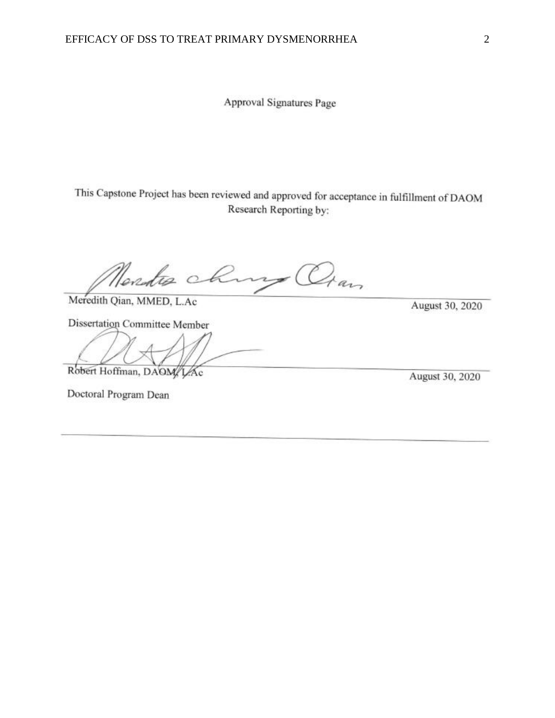Approval Signatures Page

This Capstone Project has been reviewed and approved for acceptance in fulfillment of DAOM<br>Research Reporting by:

Nerdis chury Oran

Meredith Qian, MMED, L.Ac

Dissertation Committee Member

 $\frac{1}{2}$ 

Robert Hoffman, DAOM/LAc

Doctoral Program Dean

August 30, 2020

August 30, 2020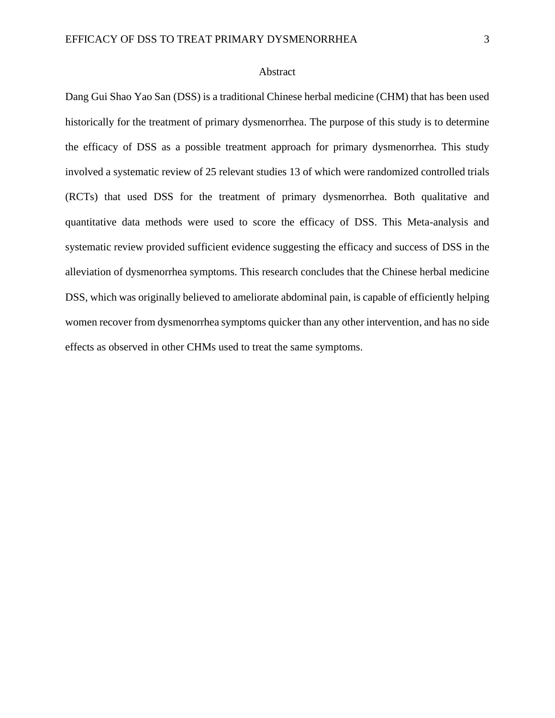#### Abstract

<span id="page-2-0"></span>Dang Gui Shao Yao San (DSS) is a traditional Chinese herbal medicine (CHM) that has been used historically for the treatment of primary dysmenorrhea. The purpose of this study is to determine the efficacy of DSS as a possible treatment approach for primary dysmenorrhea. This study involved a systematic review of 25 relevant studies 13 of which were randomized controlled trials (RCTs) that used DSS for the treatment of primary dysmenorrhea. Both qualitative and quantitative data methods were used to score the efficacy of DSS. This Meta-analysis and systematic review provided sufficient evidence suggesting the efficacy and success of DSS in the alleviation of dysmenorrhea symptoms. This research concludes that the Chinese herbal medicine DSS, which was originally believed to ameliorate abdominal pain, is capable of efficiently helping women recover from dysmenorrhea symptoms quicker than any other intervention, and has no side effects as observed in other CHMs used to treat the same symptoms.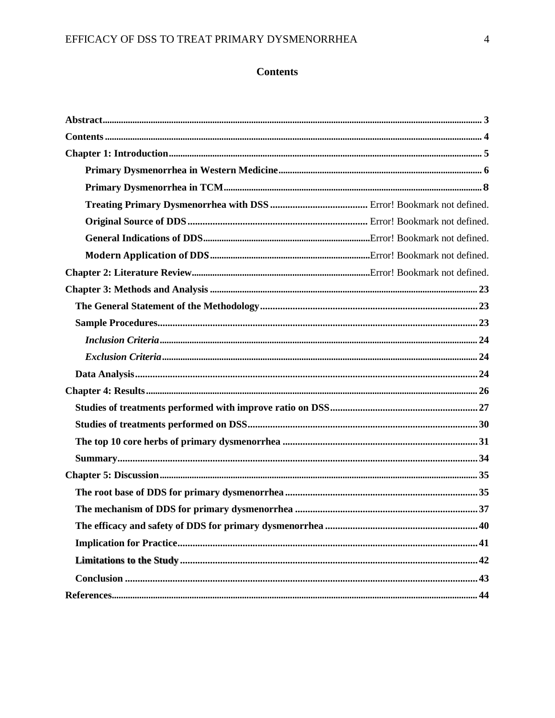## <span id="page-3-0"></span>EFFICACY OF DSS TO TREAT PRIMARY DYSMENORRHEA

## **Contents**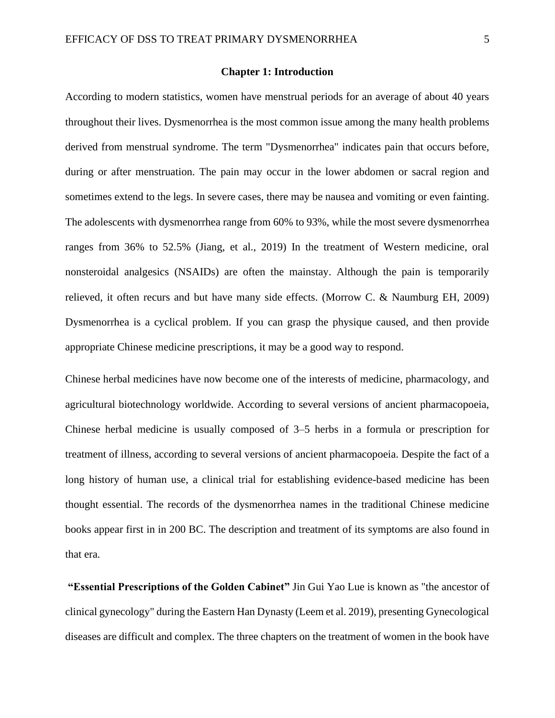#### **Chapter 1: Introduction**

According to modern statistics, women have menstrual periods for an average of about 40 years throughout their lives. Dysmenorrhea is the most common issue among the many health problems derived from menstrual syndrome. The term "Dysmenorrhea" indicates pain that occurs before, during or after menstruation. The pain may occur in the lower abdomen or sacral region and sometimes extend to the legs. In severe cases, there may be nausea and vomiting or even fainting. The adolescents with dysmenorrhea range from 60% to 93%, while the most severe dysmenorrhea ranges from 36% to 52.5% (Jiang, et al., 2019) In the treatment of Western medicine, oral nonsteroidal analgesics (NSAIDs) are often the mainstay. Although the pain is temporarily relieved, it often recurs and but have many side effects. (Morrow C. & Naumburg EH, 2009) Dysmenorrhea is a cyclical problem. If you can grasp the physique caused, and then provide appropriate Chinese medicine prescriptions, it may be a good way to respond.

Chinese herbal medicines have now become one of the interests of medicine, pharmacology, and agricultural biotechnology worldwide. According to several versions of ancient pharmacopoeia, Chinese herbal medicine is usually composed of 3–5 herbs in a formula or prescription for treatment of illness, according to several versions of ancient pharmacopoeia. Despite the fact of a long history of human use, a clinical trial for establishing evidence-based medicine has been thought essential. The records of the dysmenorrhea names in the traditional Chinese medicine books appear first in in 200 BC. The description and treatment of its symptoms are also found in that era.

**"Essential Prescriptions of the Golden Cabinet"** Jin Gui Yao Lue is known as "the ancestor of clinical gynecology" during the Eastern Han Dynasty (Leem et al. 2019), presenting Gynecological diseases are difficult and complex. The three chapters on the treatment of women in the book have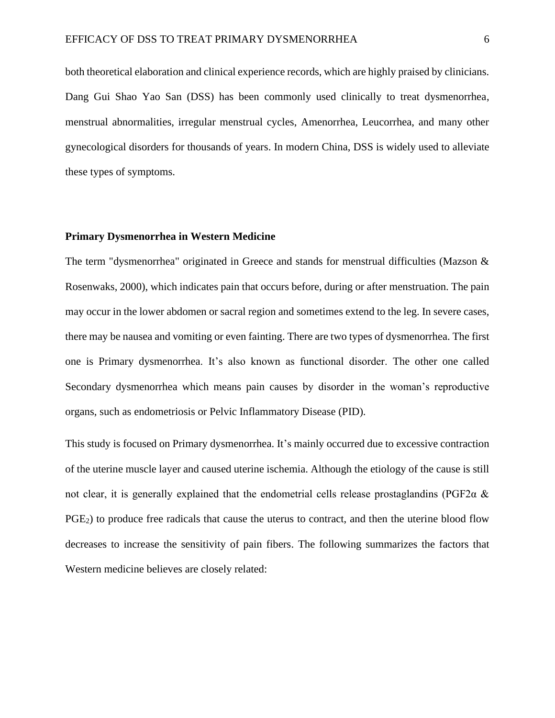both theoretical elaboration and clinical experience records, which are highly praised by clinicians. Dang Gui Shao Yao San (DSS) has been commonly used clinically to treat dysmenorrhea, menstrual abnormalities, irregular menstrual cycles, Amenorrhea, Leucorrhea, and many other gynecological disorders for thousands of years. In modern China, DSS is widely used to alleviate these types of symptoms.

#### **Primary Dysmenorrhea in Western Medicine**

The term "dysmenorrhea" originated in Greece and stands for menstrual difficulties (Mazson & Rosenwaks, 2000), which indicates pain that occurs before, during or after menstruation. The pain may occur in the lower abdomen or sacral region and sometimes extend to the leg. In severe cases, there may be nausea and vomiting or even fainting. There are two types of dysmenorrhea. The first one is Primary dysmenorrhea. It's also known as functional disorder. The other one called Secondary dysmenorrhea which means pain causes by disorder in the woman's reproductive organs, such as endometriosis or Pelvic Inflammatory Disease (PID).

This study is focused on Primary dysmenorrhea. It's mainly occurred due to excessive contraction of the uterine muscle layer and caused uterine ischemia. Although the etiology of the cause is still not clear, it is generally explained that the endometrial cells release prostaglandins (PGF2α & PGE<sub>2</sub>) to produce free radicals that cause the uterus to contract, and then the uterine blood flow decreases to increase the sensitivity of pain fibers. The following summarizes the factors that Western medicine believes are closely related: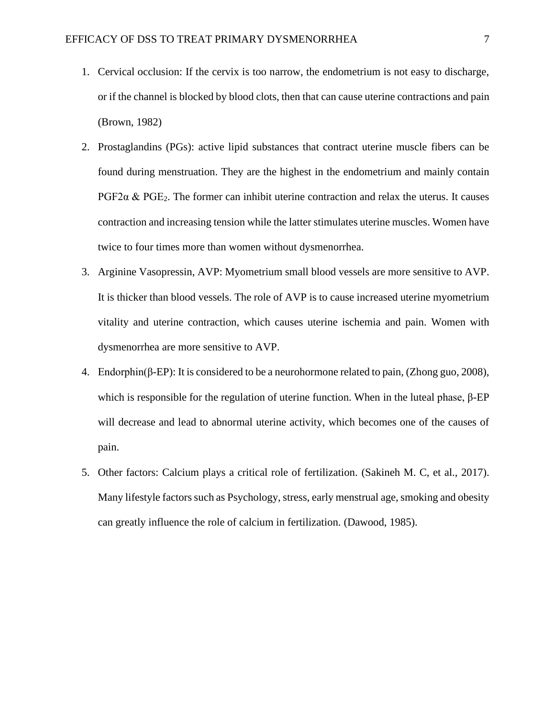- 1. Cervical occlusion: If the cervix is too narrow, the endometrium is not easy to discharge, or if the channel is blocked by blood clots, then that can cause uterine contractions and pain (Brown, 1982)
- 2. Prostaglandins (PGs): active lipid substances that contract uterine muscle fibers can be found during menstruation. They are the highest in the endometrium and mainly contain PGF2 $\alpha$  & PGE<sub>2</sub>. The former can inhibit uterine contraction and relax the uterus. It causes contraction and increasing tension while the latter stimulates uterine muscles. Women have twice to four times more than women without dysmenorrhea.
- 3. Arginine Vasopressin, AVP: Myometrium small blood vessels are more sensitive to AVP. It is thicker than blood vessels. The role of AVP is to cause increased uterine myometrium vitality and uterine contraction, which causes uterine ischemia and pain. Women with dysmenorrhea are more sensitive to AVP.
- 4. Endorphin(β-EP): It is considered to be a neurohormone related to pain, (Zhong guo, 2008), which is responsible for the regulation of uterine function. When in the luteal phase,  $β$ -EP will decrease and lead to abnormal uterine activity, which becomes one of the causes of pain.
- 5. Other factors: Calcium plays a critical role of fertilization. (Sakineh M. C, et al., 2017). Many lifestyle factors such as Psychology, stress, early menstrual age, smoking and obesity can greatly influence the role of calcium in fertilization. (Dawood, 1985).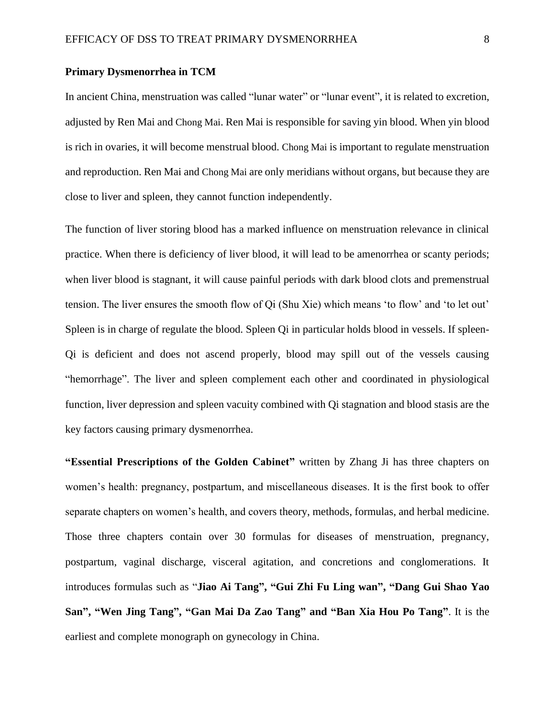#### **Primary Dysmenorrhea in TCM**

In ancient China, menstruation was called "lunar water" or "lunar event", it is related to excretion, adjusted by Ren Mai and Chong Mai. Ren Mai is responsible for saving yin blood. When yin blood is rich in ovaries, it will become menstrual blood. Chong Mai is important to regulate menstruation and reproduction. Ren Mai and Chong Mai are only meridians without organs, but because they are close to liver and spleen, they cannot function independently.

The function of liver storing blood has a marked influence on menstruation relevance in clinical practice. When there is deficiency of liver blood, it will lead to be amenorrhea or scanty periods; when liver blood is stagnant, it will cause painful periods with dark blood clots and premenstrual tension. The liver ensures the smooth flow of Qi (Shu Xie) which means 'to flow' and 'to let out' Spleen is in charge of regulate the blood. Spleen Qi in particular holds blood in vessels. If spleen-Qi is deficient and does not ascend properly, blood may spill out of the vessels causing "hemorrhage". The liver and spleen complement each other and coordinated in physiological function, liver depression and spleen vacuity combined with Qi stagnation and blood stasis are the key factors causing primary dysmenorrhea.

**"Essential Prescriptions of the Golden Cabinet"** written by Zhang Ji has three chapters on women's health: pregnancy, postpartum, and miscellaneous diseases. It is the first book to offer separate chapters on women's health, and covers theory, methods, formulas, and herbal medicine. Those three chapters contain over 30 formulas for diseases of menstruation, pregnancy, postpartum, vaginal discharge, visceral agitation, and concretions and conglomerations. It introduces formulas such as "**Jiao Ai Tang", "Gui Zhi Fu Ling wan", "Dang Gui Shao Yao San", "Wen Jing Tang", "Gan Mai Da Zao Tang" and "Ban Xia Hou Po Tang"**. It is the earliest and complete monograph on gynecology in China.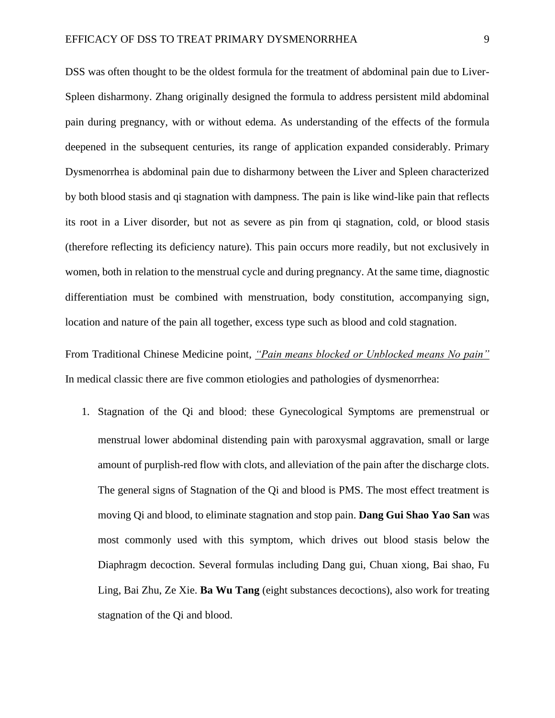DSS was often thought to be the oldest formula for the treatment of abdominal pain due to Liver-Spleen disharmony. Zhang originally designed the formula to address persistent mild abdominal pain during pregnancy, with or without edema. As understanding of the effects of the formula deepened in the subsequent centuries, its range of application expanded considerably. Primary Dysmenorrhea is abdominal pain due to disharmony between the Liver and Spleen characterized by both blood stasis and qi stagnation with dampness. The pain is like wind-like pain that reflects its root in a Liver disorder, but not as severe as pin from qi stagnation, cold, or blood stasis (therefore reflecting its deficiency nature). This pain occurs more readily, but not exclusively in women, both in relation to the menstrual cycle and during pregnancy. At the same time, diagnostic differentiation must be combined with menstruation, body constitution, accompanying sign, location and nature of the pain all together, excess type such as blood and cold stagnation.

From Traditional Chinese Medicine point, *"Pain means blocked or Unblocked means No pain"* In medical classic there are five common etiologies and pathologies of dysmenorrhea:

1. Stagnation of the Qi and blood: these Gynecological Symptoms are premenstrual or menstrual lower abdominal distending pain with paroxysmal aggravation, small or large amount of purplish-red flow with clots, and alleviation of the pain after the discharge clots. The general signs of Stagnation of the Qi and blood is PMS. The most effect treatment is moving Qi and blood, to eliminate stagnation and stop pain. **Dang Gui Shao Yao San** was most commonly used with this symptom, which drives out blood stasis below the Diaphragm decoction. Several formulas including Dang gui, Chuan xiong, Bai shao, Fu Ling, Bai Zhu, Ze Xie. **Ba Wu Tang** (eight substances decoctions), also work for treating stagnation of the Qi and blood.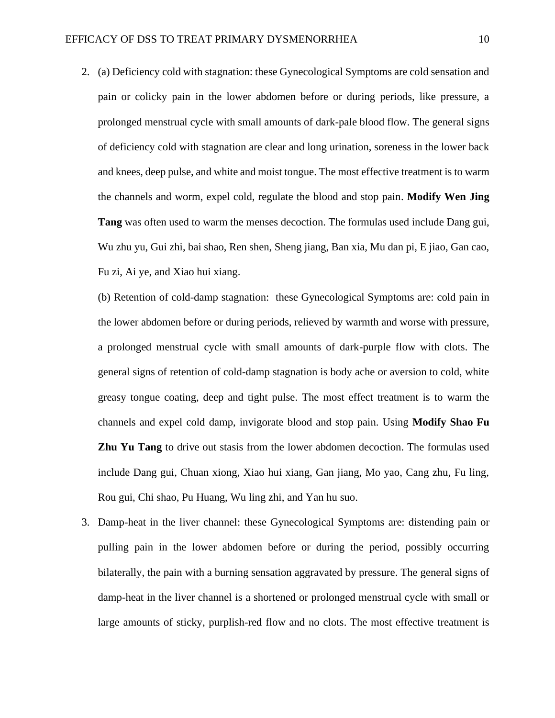2. (a) Deficiency cold with stagnation: these Gynecological Symptoms are cold sensation and pain or colicky pain in the lower abdomen before or during periods, like pressure, a prolonged menstrual cycle with small amounts of dark-pale blood flow. The general signs of deficiency cold with stagnation are clear and long urination, soreness in the lower back and knees, deep pulse, and white and moist tongue. The most effective treatment is to warm the channels and worm, expel cold, regulate the blood and stop pain. **Modify Wen Jing Tang** was often used to warm the menses decoction. The formulas used include Dang gui, Wu zhu yu, Gui zhi, bai shao, Ren shen, Sheng jiang, Ban xia, Mu dan pi, E jiao, Gan cao, Fu zi, Ai ye, and Xiao hui xiang.

(b) Retention of cold-damp stagnation: these Gynecological Symptoms are: cold pain in the lower abdomen before or during periods, relieved by warmth and worse with pressure, a prolonged menstrual cycle with small amounts of dark-purple flow with clots. The general signs of retention of cold-damp stagnation is body ache or aversion to cold, white greasy tongue coating, deep and tight pulse. The most effect treatment is to warm the channels and expel cold damp, invigorate blood and stop pain. Using **Modify Shao Fu Zhu Yu Tang** to drive out stasis from the lower abdomen decoction. The formulas used include Dang gui, Chuan xiong, Xiao hui xiang, Gan jiang, Mo yao, Cang zhu, Fu ling, Rou gui, Chi shao, Pu Huang, Wu ling zhi, and Yan hu suo.

3. Damp-heat in the liver channel: these Gynecological Symptoms are: distending pain or pulling pain in the lower abdomen before or during the period, possibly occurring bilaterally, the pain with a burning sensation aggravated by pressure. The general signs of damp-heat in the liver channel is a shortened or prolonged menstrual cycle with small or large amounts of sticky, purplish-red flow and no clots. The most effective treatment is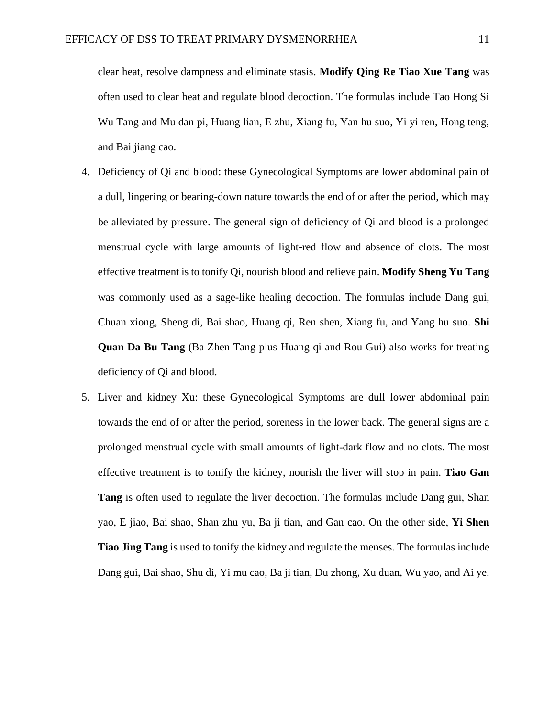clear heat, resolve dampness and eliminate stasis. **Modify Qing Re Tiao Xue Tang** was often used to clear heat and regulate blood decoction. The formulas include Tao Hong Si Wu Tang and Mu dan pi, Huang lian, E zhu, Xiang fu, Yan hu suo, Yi yi ren, Hong teng, and Bai jiang cao.

- 4. Deficiency of Qi and blood: these Gynecological Symptoms are lower abdominal pain of a dull, lingering or bearing-down nature towards the end of or after the period, which may be alleviated by pressure. The general sign of deficiency of Qi and blood is a prolonged menstrual cycle with large amounts of light-red flow and absence of clots. The most effective treatment is to tonify Qi, nourish blood and relieve pain. **Modify Sheng Yu Tang** was commonly used as a sage-like healing decoction. The formulas include Dang gui, Chuan xiong, Sheng di, Bai shao, Huang qi, Ren shen, Xiang fu, and Yang hu suo. **Shi Quan Da Bu Tang** (Ba Zhen Tang plus Huang qi and Rou Gui) also works for treating deficiency of Qi and blood.
- 5. Liver and kidney Xu: these Gynecological Symptoms are dull lower abdominal pain towards the end of or after the period, soreness in the lower back. The general signs are a prolonged menstrual cycle with small amounts of light-dark flow and no clots. The most effective treatment is to tonify the kidney, nourish the liver will stop in pain. **Tiao Gan Tang** is often used to regulate the liver decoction. The formulas include Dang gui, Shan yao, E jiao, Bai shao, Shan zhu yu, Ba ji tian, and Gan cao. On the other side, **Yi Shen Tiao Jing Tang** is used to tonify the kidney and regulate the menses. The formulas include Dang gui, Bai shao, Shu di, Yi mu cao, Ba ji tian, Du zhong, Xu duan, Wu yao, and Ai ye.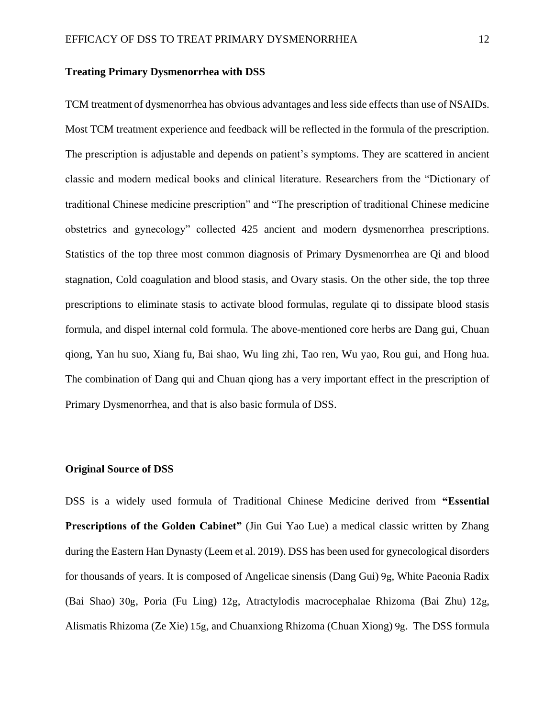#### **Treating Primary Dysmenorrhea with DSS**

TCM treatment of dysmenorrhea has obvious advantages and less side effects than use of NSAIDs. Most TCM treatment experience and feedback will be reflected in the formula of the prescription. The prescription is adjustable and depends on patient's symptoms. They are scattered in ancient classic and modern medical books and clinical literature. Researchers from the "Dictionary of traditional Chinese medicine prescription" and "The prescription of traditional Chinese medicine obstetrics and gynecology" collected 425 ancient and modern dysmenorrhea prescriptions. Statistics of the top three most common diagnosis of Primary Dysmenorrhea are Qi and blood stagnation, Cold coagulation and blood stasis, and Ovary stasis. On the other side, the top three prescriptions to eliminate stasis to activate blood formulas, regulate qi to dissipate blood stasis formula, and dispel internal cold formula. The above-mentioned core herbs are Dang gui, Chuan qiong, Yan hu suo, Xiang fu, Bai shao, Wu ling zhi, Tao ren, Wu yao, Rou gui, and Hong hua. The combination of Dang qui and Chuan qiong has a very important effect in the prescription of Primary Dysmenorrhea, and that is also basic formula of DSS.

#### **Original Source of DSS**

DSS is a widely used formula of Traditional Chinese Medicine derived from **"Essential Prescriptions of the Golden Cabinet"** (Jin Gui Yao Lue) a medical classic written by Zhang during the Eastern Han Dynasty (Leem et al. 2019). DSS has been used for gynecological disorders for thousands of years. It is composed of Angelicae sinensis (Dang Gui) 9g, White Paeonia Radix (Bai Shao) 30g, Poria (Fu Ling) 12g, Atractylodis macrocephalae Rhizoma (Bai Zhu) 12g, Alismatis Rhizoma (Ze Xie) 15g, and Chuanxiong Rhizoma (Chuan Xiong) 9g. The DSS formula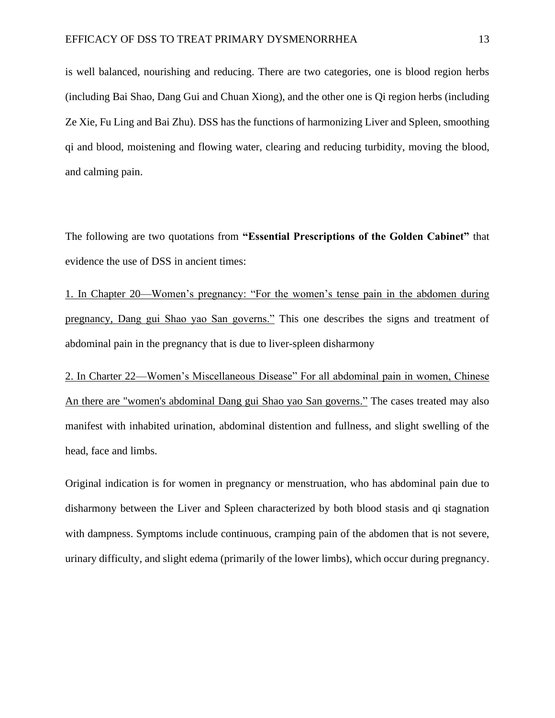is well balanced, nourishing and reducing. There are two categories, one is blood region herbs (including Bai Shao, Dang Gui and Chuan Xiong), and the other one is Qi region herbs (including Ze Xie, Fu Ling and Bai Zhu). DSS has the functions of harmonizing Liver and Spleen, smoothing qi and blood, moistening and flowing water, clearing and reducing turbidity, moving the blood, and calming pain.

The following are two quotations from **"Essential Prescriptions of the Golden Cabinet"** that evidence the use of DSS in ancient times:

1. In Chapter 20—Women's pregnancy: "For the women's tense pain in the abdomen during pregnancy, Dang gui Shao yao San governs." This one describes the signs and treatment of abdominal pain in the pregnancy that is due to liver-spleen disharmony

2. In Charter 22—Women's Miscellaneous Disease" For all abdominal pain in women, Chinese An there are "women's abdominal Dang gui Shao yao San governs." The cases treated may also manifest with inhabited urination, abdominal distention and fullness, and slight swelling of the head, face and limbs.

Original indication is for women in pregnancy or menstruation, who has abdominal pain due to disharmony between the Liver and Spleen characterized by both blood stasis and qi stagnation with dampness. Symptoms include continuous, cramping pain of the abdomen that is not severe, urinary difficulty, and slight edema (primarily of the lower limbs), which occur during pregnancy.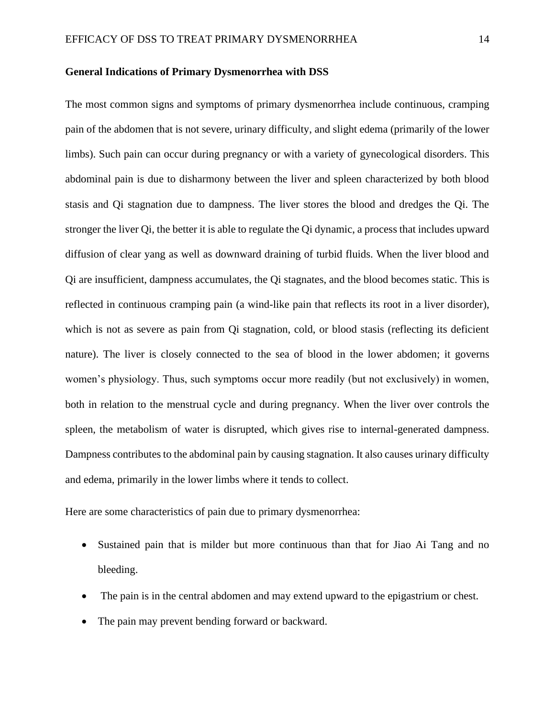#### **General Indications of Primary Dysmenorrhea with DSS**

The most common signs and symptoms of primary dysmenorrhea include continuous, cramping pain of the abdomen that is not severe, urinary difficulty, and slight edema (primarily of the lower limbs). Such pain can occur during pregnancy or with a variety of gynecological disorders. This abdominal pain is due to disharmony between the liver and spleen characterized by both blood stasis and Qi stagnation due to dampness. The liver stores the blood and dredges the Qi. The stronger the liver Qi, the better it is able to regulate the Qi dynamic, a process that includes upward diffusion of clear yang as well as downward draining of turbid fluids. When the liver blood and Qi are insufficient, dampness accumulates, the Qi stagnates, and the blood becomes static. This is reflected in continuous cramping pain (a wind-like pain that reflects its root in a liver disorder), which is not as severe as pain from Qi stagnation, cold, or blood stasis (reflecting its deficient nature). The liver is closely connected to the sea of blood in the lower abdomen; it governs women's physiology. Thus, such symptoms occur more readily (but not exclusively) in women, both in relation to the menstrual cycle and during pregnancy. When the liver over controls the spleen, the metabolism of water is disrupted, which gives rise to internal-generated dampness. Dampness contributes to the abdominal pain by causing stagnation. It also causes urinary difficulty and edema, primarily in the lower limbs where it tends to collect.

Here are some characteristics of pain due to primary dysmenorrhea:

- Sustained pain that is milder but more continuous than that for Jiao Ai Tang and no bleeding.
- The pain is in the central abdomen and may extend upward to the epigastrium or chest.
- The pain may prevent bending forward or backward.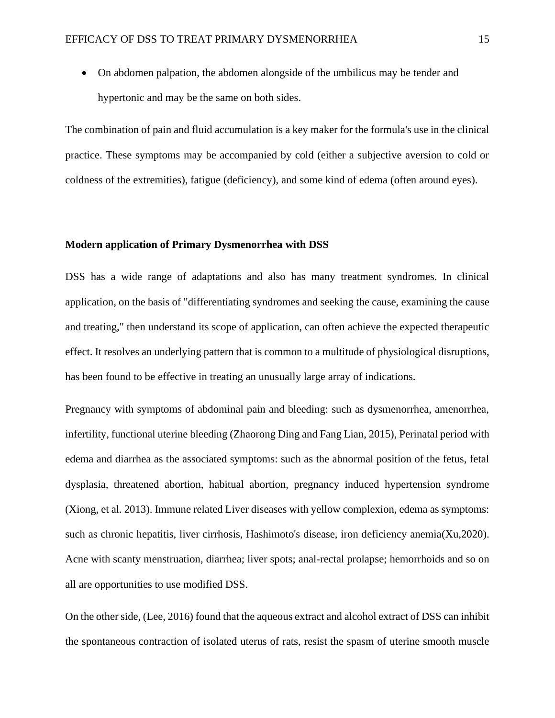• On abdomen palpation, the abdomen alongside of the umbilicus may be tender and hypertonic and may be the same on both sides.

The combination of pain and fluid accumulation is a key maker for the formula's use in the clinical practice. These symptoms may be accompanied by cold (either a subjective aversion to cold or coldness of the extremities), fatigue (deficiency), and some kind of edema (often around eyes).

#### **Modern application of Primary Dysmenorrhea with DSS**

DSS has a wide range of adaptations and also has many treatment syndromes. In clinical application, on the basis of "differentiating syndromes and seeking the cause, examining the cause and treating," then understand its scope of application, can often achieve the expected therapeutic effect. It resolves an underlying pattern that is common to a multitude of physiological disruptions, has been found to be effective in treating an unusually large array of indications.

Pregnancy with symptoms of abdominal pain and bleeding: such as dysmenorrhea, amenorrhea, infertility, functional uterine bleeding (Zhaorong Ding and Fang Lian, 2015), Perinatal period with edema and diarrhea as the associated symptoms: such as the abnormal position of the fetus, fetal dysplasia, threatened abortion, habitual abortion, pregnancy induced hypertension syndrome (Xiong, et al. 2013). Immune related Liver diseases with yellow complexion, edema as symptoms: such as chronic hepatitis, liver cirrhosis, Hashimoto's disease, iron deficiency anemia(Xu,2020). Acne with scanty menstruation, diarrhea; liver spots; anal-rectal prolapse; hemorrhoids and so on all are opportunities to use modified DSS.

On the other side, (Lee, 2016) found that the aqueous extract and alcohol extract of DSS can inhibit the spontaneous contraction of isolated uterus of rats, resist the spasm of uterine smooth muscle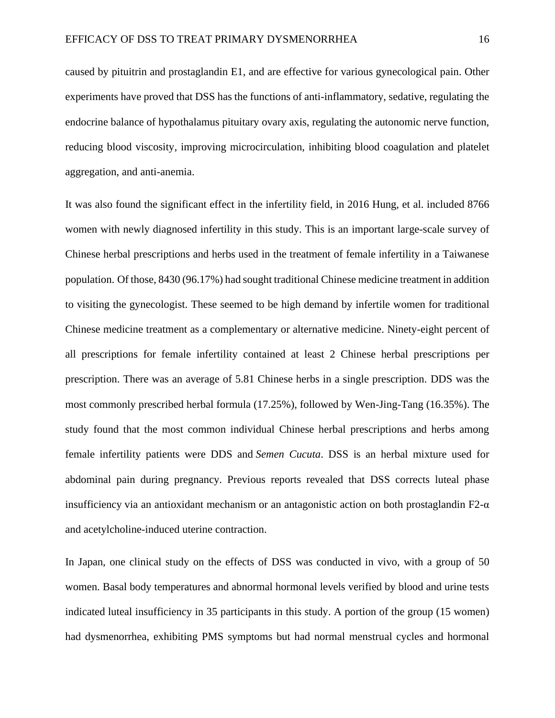caused by pituitrin and prostaglandin E1, and are effective for various gynecological pain. Other experiments have proved that DSS has the functions of anti-inflammatory, sedative, regulating the endocrine balance of hypothalamus pituitary ovary axis, regulating the autonomic nerve function, reducing blood viscosity, improving microcirculation, inhibiting blood coagulation and platelet aggregation, and anti-anemia.

It was also found the significant effect in the infertility field, in 2016 Hung, et al. included 8766 women with newly diagnosed infertility in this study. This is an important large-scale survey of Chinese herbal prescriptions and herbs used in the treatment of female infertility in a Taiwanese population. Of those, 8430 (96.17%) had sought traditional Chinese medicine treatment in addition to visiting the gynecologist. These seemed to be high demand by infertile women for traditional Chinese medicine treatment as a complementary or alternative medicine. Ninety-eight percent of all prescriptions for female infertility contained at least 2 Chinese herbal prescriptions per prescription. There was an average of 5.81 Chinese herbs in a single prescription. DDS was the most commonly prescribed herbal formula (17.25%), followed by Wen-Jing-Tang (16.35%). The study found that the most common individual Chinese herbal prescriptions and herbs among female infertility patients were DDS and *Semen Cucuta*. DSS is an herbal mixture used for abdominal pain during pregnancy. Previous reports revealed that DSS corrects luteal phase insufficiency via an antioxidant mechanism or an antagonistic action on both prostaglandin  $F2-\alpha$ and acetylcholine-induced uterine contraction.

In Japan, one clinical study on the effects of DSS was conducted in vivo, with a group of 50 women. Basal body temperatures and abnormal hormonal levels verified by blood and urine tests indicated luteal insufficiency in 35 participants in this study. A portion of the group (15 women) had dysmenorrhea, exhibiting PMS symptoms but had normal menstrual cycles and hormonal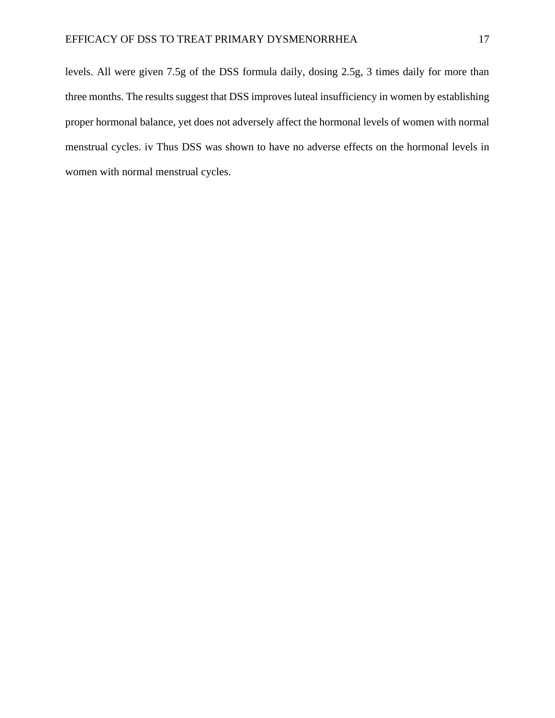levels. All were given 7.5g of the DSS formula daily, dosing 2.5g, 3 times daily for more than three months. The results suggest that DSS improves luteal insufficiency in women by establishing proper hormonal balance, yet does not adversely affect the hormonal levels of women with normal menstrual cycles. iv Thus DSS was shown to have no adverse effects on the hormonal levels in women with normal menstrual cycles.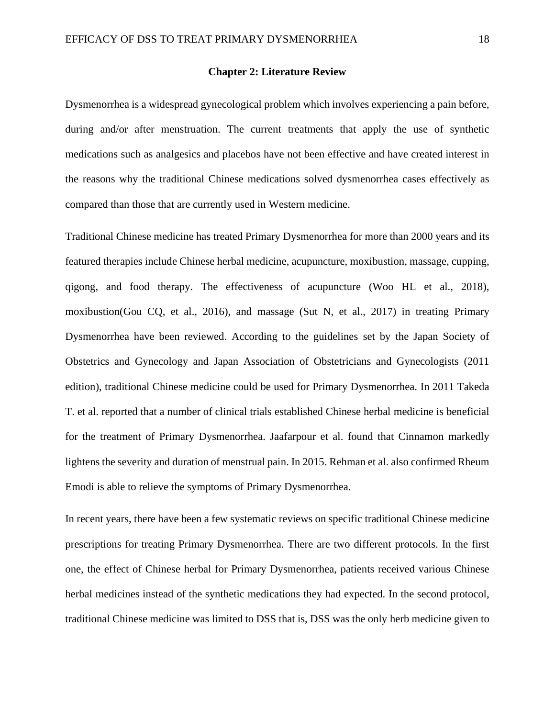#### **Chapter 2: Literature Review**

Dysmenorrhea is a widespread gynecological problem which involves experiencing a pain before, during and/or after menstruation. The current treatments that apply the use of synthetic medications such as analgesics and placebos have not been effective and have created interest in the reasons why the traditional Chinese medications solved dysmenorrhea cases effectively as compared than those that are currently used in Western medicine.

Traditional Chinese medicine has treated Primary Dysmenorrhea for more than 2000 years and its featured therapies include Chinese herbal medicine, acupuncture, moxibustion, massage, cupping, qigong, and food therapy. The effectiveness of acupuncture (Woo HL et al., 2018), moxibustion(Gou CQ, et al., 2016), and massage (Sut N, et al., 2017) in treating Primary Dysmenorrhea have been reviewed. According to the guidelines set by the Japan Society of Obstetrics and Gynecology and Japan Association of Obstetricians and Gynecologists (2011 edition), traditional Chinese medicine could be used for Primary Dysmenorrhea. In 2011 Takeda T. et al. reported that a number of clinical trials established Chinese herbal medicine is beneficial for the treatment of Primary Dysmenorrhea. Jaafarpour et al. found that Cinnamon markedly lightens the severity and duration of menstrual pain. In 2015. Rehman et al. also confirmed Rheum Emodi is able to relieve the symptoms of Primary Dysmenorrhea.

In recent years, there have been a few systematic reviews on specific traditional Chinese medicine prescriptions for treating Primary Dysmenorrhea. There are two different protocols. In the first one, the effect of Chinese herbal for Primary Dysmenorrhea, patients received various Chinese herbal medicines instead of the synthetic medications they had expected. In the second protocol, traditional Chinese medicine was limited to DSS that is, DSS was the only herb medicine given to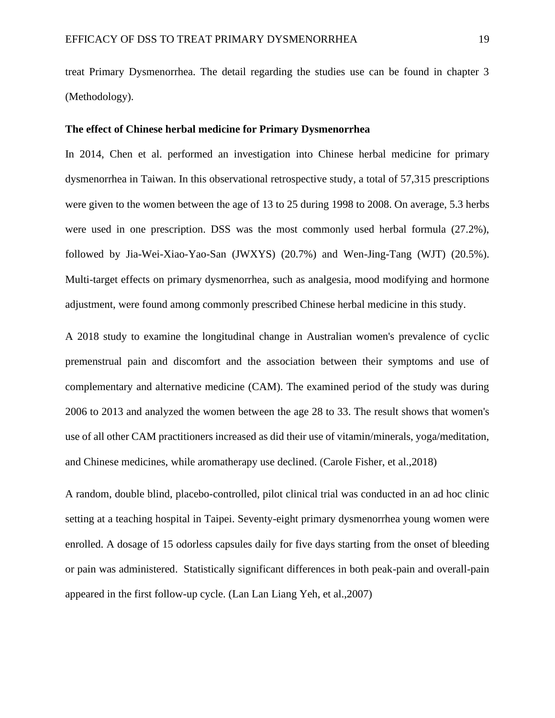treat Primary Dysmenorrhea. The detail regarding the studies use can be found in chapter 3 (Methodology).

#### **The effect of Chinese herbal medicine for Primary Dysmenorrhea**

In 2014, Chen et al. performed an investigation into Chinese herbal medicine for primary dysmenorrhea in Taiwan. In this observational retrospective study, a total of 57,315 prescriptions were given to the women between the age of 13 to 25 during 1998 to 2008. On average, 5.3 herbs were used in one prescription. DSS was the most commonly used herbal formula (27.2%), followed by Jia-Wei-Xiao-Yao-San (JWXYS) (20.7%) and Wen-Jing-Tang (WJT) (20.5%). Multi-target effects on primary dysmenorrhea, such as analgesia, mood modifying and hormone adjustment, were found among commonly prescribed Chinese herbal medicine in this study.

A 2018 study to examine the longitudinal change in Australian women's prevalence of cyclic premenstrual pain and discomfort and the association between their symptoms and use of complementary and alternative medicine (CAM). The examined period of the study was during 2006 to 2013 and analyzed the women between the age 28 to 33. The result shows that women's use of all other CAM practitioners increased as did their use of vitamin/minerals, yoga/meditation, and Chinese medicines, while aromatherapy use declined. (Carole Fisher, et al.,2018)

A random, double blind, placebo-controlled, pilot clinical trial was conducted in an ad hoc clinic setting at a teaching hospital in Taipei. Seventy-eight primary dysmenorrhea young women were enrolled. A dosage of 15 odorless capsules daily for five days starting from the onset of bleeding or pain was administered. Statistically significant differences in both peak-pain and overall-pain appeared in the first follow-up cycle. (Lan Lan Liang Yeh, et al.,2007)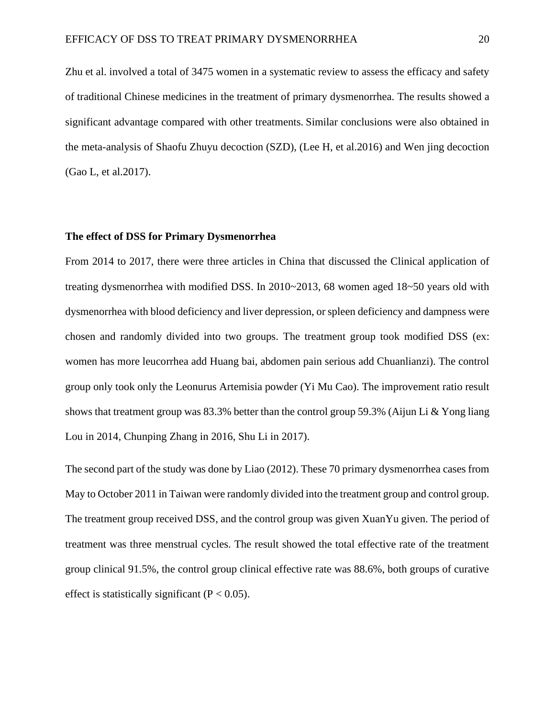Zhu et al. involved a total of 3475 women in a systematic review to assess the efficacy and safety of traditional Chinese medicines in the treatment of primary dysmenorrhea. The results showed a significant advantage compared with other treatments. Similar conclusions were also obtained in the meta-analysis of Shaofu Zhuyu decoction (SZD), (Lee H, et al.2016) and Wen jing decoction (Gao L, et al.2017).

#### **The effect of DSS for Primary Dysmenorrhea**

From 2014 to 2017, there were three articles in China that discussed the Clinical application of treating dysmenorrhea with modified DSS. In 2010~2013, 68 women aged 18~50 years old with dysmenorrhea with blood deficiency and liver depression, or spleen deficiency and dampness were chosen and randomly divided into two groups. The treatment group took modified DSS (ex: women has more leucorrhea add Huang bai, abdomen pain serious add Chuanlianzi). The control group only took only the Leonurus Artemisia powder (Yi Mu Cao). The improvement ratio result shows that treatment group was 83.3% better than the control group 59.3% (Aijun Li & Yong liang Lou in 2014, Chunping Zhang in 2016, Shu Li in 2017).

The second part of the study was done by Liao (2012). These 70 primary dysmenorrhea cases from May to October 2011 in Taiwan were randomly divided into the treatment group and control group. The treatment group received DSS, and the control group was given XuanYu given. The period of treatment was three menstrual cycles. The result showed the total effective rate of the treatment group clinical 91.5%, the control group clinical effective rate was 88.6%, both groups of curative effect is statistically significant  $(P < 0.05)$ .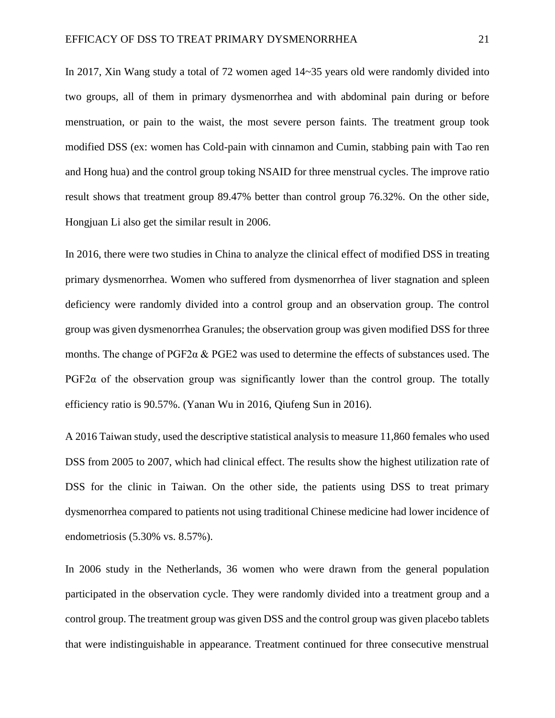In 2017, Xin Wang study a total of 72 women aged 14~35 years old were randomly divided into two groups, all of them in primary dysmenorrhea and with abdominal pain during or before menstruation, or pain to the waist, the most severe person faints. The treatment group took modified DSS (ex: women has Cold-pain with cinnamon and Cumin, stabbing pain with Tao ren and Hong hua) and the control group toking NSAID for three menstrual cycles. The improve ratio result shows that treatment group 89.47% better than control group 76.32%. On the other side, Hongjuan Li also get the similar result in 2006.

In 2016, there were two studies in China to analyze the clinical effect of modified DSS in treating primary dysmenorrhea. Women who suffered from dysmenorrhea of liver stagnation and spleen deficiency were randomly divided into a control group and an observation group. The control group was given dysmenorrhea Granules; the observation group was given modified DSS for three months. The change of  $PGF2\alpha \& PGE2$  was used to determine the effects of substances used. The  $PGF2\alpha$  of the observation group was significantly lower than the control group. The totally efficiency ratio is 90.57%. (Yanan Wu in 2016, Qiufeng Sun in 2016).

A 2016 Taiwan study, used the descriptive statistical analysis to measure 11,860 females who used DSS from 2005 to 2007, which had clinical effect. The results show the highest utilization rate of DSS for the clinic in Taiwan. On the other side, the patients using DSS to treat primary dysmenorrhea compared to patients not using traditional Chinese medicine had lower incidence of endometriosis (5.30% vs. 8.57%).

In 2006 study in the Netherlands, 36 women who were drawn from the general population participated in the observation cycle. They were randomly divided into a treatment group and a control group. The treatment group was given DSS and the control group was given placebo tablets that were indistinguishable in appearance. Treatment continued for three consecutive menstrual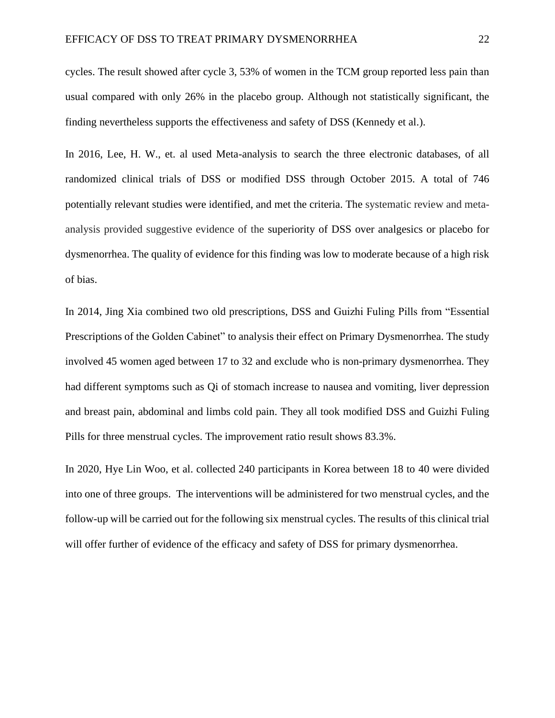cycles. The result showed after cycle 3, 53% of women in the TCM group reported less pain than usual compared with only 26% in the placebo group. Although not statistically significant, the finding nevertheless supports the effectiveness and safety of DSS (Kennedy et al.).

In 2016, Lee, H. W., et. al used Meta-analysis to search the three electronic databases, of all randomized clinical trials of DSS or modified DSS through October 2015. A total of 746 potentially relevant studies were identified, and met the criteria. The systematic review and metaanalysis provided suggestive evidence of the superiority of DSS over analgesics or placebo for dysmenorrhea. The quality of evidence for this finding was low to moderate because of a high risk of bias.

In 2014, Jing Xia combined two old prescriptions, DSS and Guizhi Fuling Pills from "Essential Prescriptions of the Golden Cabinet" to analysis their effect on Primary Dysmenorrhea. The study involved 45 women aged between 17 to 32 and exclude who is non-primary dysmenorrhea. They had different symptoms such as Qi of stomach increase to nausea and vomiting, liver depression and breast pain, abdominal and limbs cold pain. They all took modified DSS and Guizhi Fuling Pills for three menstrual cycles. The improvement ratio result shows 83.3%.

In 2020, Hye Lin Woo, et al. collected 240 participants in Korea between 18 to 40 were divided into one of three groups. The interventions will be administered for two menstrual cycles, and the follow-up will be carried out for the following six menstrual cycles. The results of this clinical trial will offer further of evidence of the efficacy and safety of DSS for primary dysmenorrhea.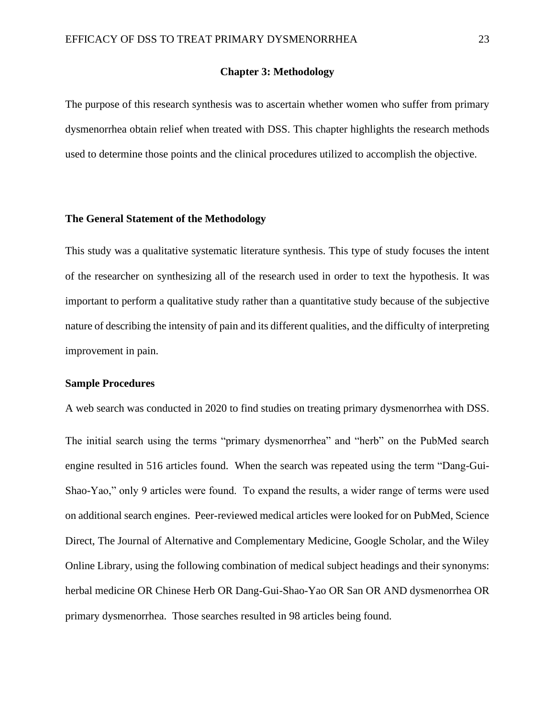#### **Chapter 3: Methodology**

The purpose of this research synthesis was to ascertain whether women who suffer from primary dysmenorrhea obtain relief when treated with DSS. This chapter highlights the research methods used to determine those points and the clinical procedures utilized to accomplish the objective.

#### **The General Statement of the Methodology**

<span id="page-22-0"></span>This study was a qualitative systematic literature synthesis. This type of study focuses the intent of the researcher on synthesizing all of the research used in order to text the hypothesis. It was important to perform a qualitative study rather than a quantitative study because of the subjective nature of describing the intensity of pain and its different qualities, and the difficulty of interpreting improvement in pain.

#### **Sample Procedures**

A web search was conducted in 2020 to find studies on treating primary dysmenorrhea with DSS.

The initial search using the terms "primary dysmenorrhea" and "herb" on the PubMed search engine resulted in 516 articles found. When the search was repeated using the term "Dang-Gui-Shao-Yao," only 9 articles were found. To expand the results, a wider range of terms were used on additional search engines. Peer-reviewed medical articles were looked for on PubMed, Science Direct, The Journal of Alternative and Complementary Medicine, Google Scholar, and the Wiley Online Library, using the following combination of medical subject headings and their synonyms: herbal medicine OR Chinese Herb OR Dang-Gui-Shao-Yao OR San OR AND dysmenorrhea OR primary dysmenorrhea. Those searches resulted in 98 articles being found.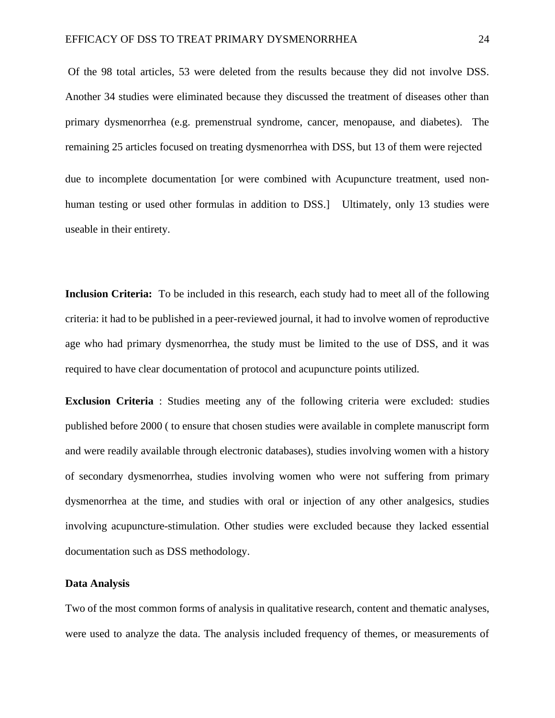Of the 98 total articles, 53 were deleted from the results because they did not involve DSS. Another 34 studies were eliminated because they discussed the treatment of diseases other than primary dysmenorrhea (e.g. premenstrual syndrome, cancer, menopause, and diabetes). The remaining 25 articles focused on treating dysmenorrhea with DSS, but 13 of them were rejected due to incomplete documentation [or were combined with Acupuncture treatment, used non-

human testing or used other formulas in addition to DSS.] Ultimately, only 13 studies were useable in their entirety.

**Inclusion Criteria:** To be included in this research, each study had to meet all of the following criteria: it had to be published in a peer-reviewed journal, it had to involve women of reproductive age who had primary dysmenorrhea, the study must be limited to the use of DSS, and it was required to have clear documentation of protocol and acupuncture points utilized.

**Exclusion Criteria** : Studies meeting any of the following criteria were excluded: studies published before 2000 ( to ensure that chosen studies were available in complete manuscript form and were readily available through electronic databases), studies involving women with a history of secondary dysmenorrhea, studies involving women who were not suffering from primary dysmenorrhea at the time, and studies with oral or injection of any other analgesics, studies involving acupuncture-stimulation. Other studies were excluded because they lacked essential documentation such as DSS methodology.

#### **Data Analysis**

Two of the most common forms of analysis in qualitative research, content and thematic analyses, were used to analyze the data. The analysis included frequency of themes, or measurements of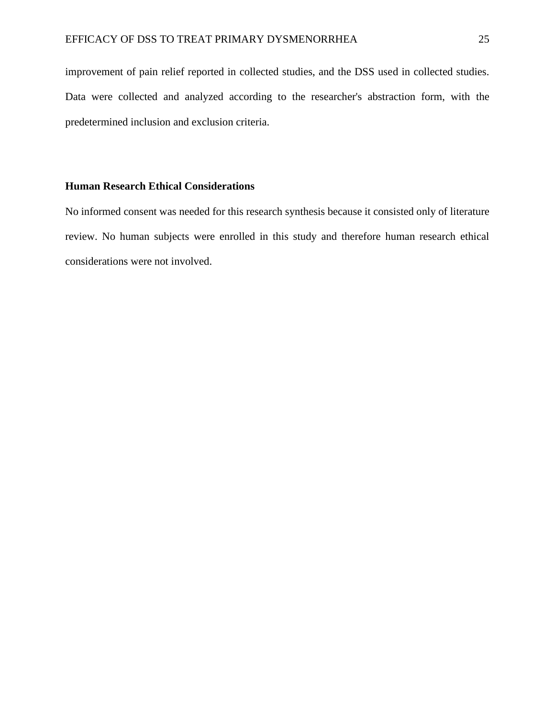improvement of pain relief reported in collected studies, and the DSS used in collected studies. Data were collected and analyzed according to the researcher's abstraction form, with the predetermined inclusion and exclusion criteria.

## **Human Research Ethical Considerations**

No informed consent was needed for this research synthesis because it consisted only of literature review. No human subjects were enrolled in this study and therefore human research ethical considerations were not involved.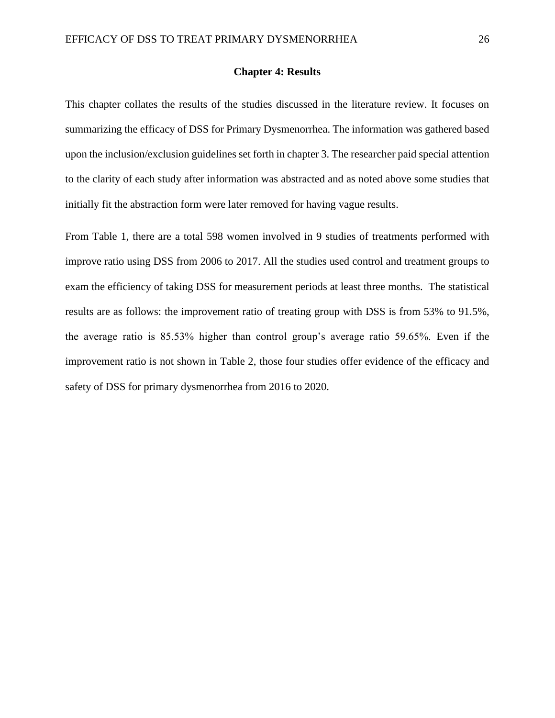#### **Chapter 4: Results**

This chapter collates the results of the studies discussed in the literature review. It focuses on summarizing the efficacy of DSS for Primary Dysmenorrhea. The information was gathered based upon the inclusion/exclusion guidelines set forth in chapter 3. The researcher paid special attention to the clarity of each study after information was abstracted and as noted above some studies that initially fit the abstraction form were later removed for having vague results.

From Table 1, there are a total 598 women involved in 9 studies of treatments performed with improve ratio using DSS from 2006 to 2017. All the studies used control and treatment groups to exam the efficiency of taking DSS for measurement periods at least three months. The statistical results are as follows: the improvement ratio of treating group with DSS is from 53% to 91.5%, the average ratio is 85.53% higher than control group's average ratio 59.65%. Even if the improvement ratio is not shown in Table 2, those four studies offer evidence of the efficacy and safety of DSS for primary dysmenorrhea from 2016 to 2020.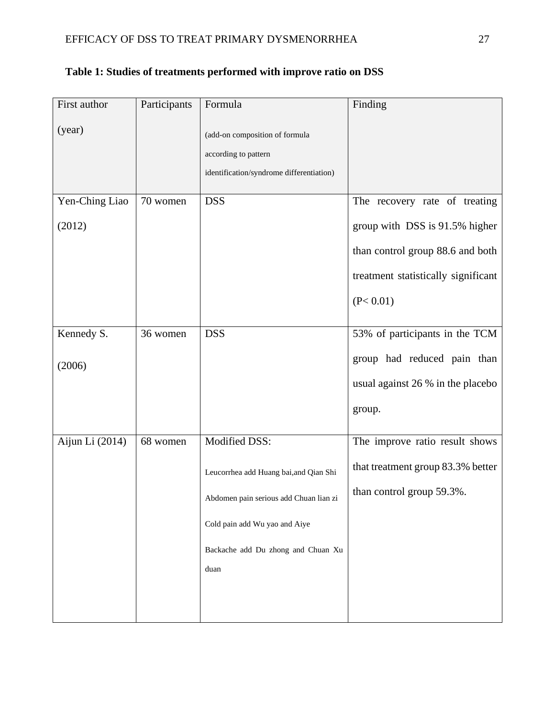| First author    | Participants | Formula                                                                                            | Finding                                                            |
|-----------------|--------------|----------------------------------------------------------------------------------------------------|--------------------------------------------------------------------|
| (year)          |              | (add-on composition of formula<br>according to pattern<br>identification/syndrome differentiation) |                                                                    |
| Yen-Ching Liao  | 70 women     | <b>DSS</b>                                                                                         | The recovery rate of treating                                      |
| (2012)          |              |                                                                                                    | group with DSS is 91.5% higher<br>than control group 88.6 and both |
|                 |              |                                                                                                    |                                                                    |
|                 |              |                                                                                                    | treatment statistically significant                                |
|                 |              |                                                                                                    | (P< 0.01)                                                          |
| Kennedy S.      | 36 women     | <b>DSS</b>                                                                                         | 53% of participants in the TCM                                     |
| (2006)          |              |                                                                                                    | group had reduced pain than                                        |
|                 |              |                                                                                                    | usual against 26 % in the placebo                                  |
|                 |              |                                                                                                    | group.                                                             |
| Aijun Li (2014) | 68 women     | Modified DSS:                                                                                      | The improve ratio result shows                                     |
|                 |              | Leucorrhea add Huang bai, and Qian Shi                                                             | that treatment group 83.3% better                                  |
|                 |              | Abdomen pain serious add Chuan lian zi                                                             | than control group 59.3%.                                          |
|                 |              | Cold pain add Wu yao and Aiye                                                                      |                                                                    |
|                 |              | Backache add Du zhong and Chuan Xu                                                                 |                                                                    |
|                 |              | duan                                                                                               |                                                                    |
|                 |              |                                                                                                    |                                                                    |
|                 |              |                                                                                                    |                                                                    |

# **Table 1: Studies of treatments performed with improve ratio on DSS**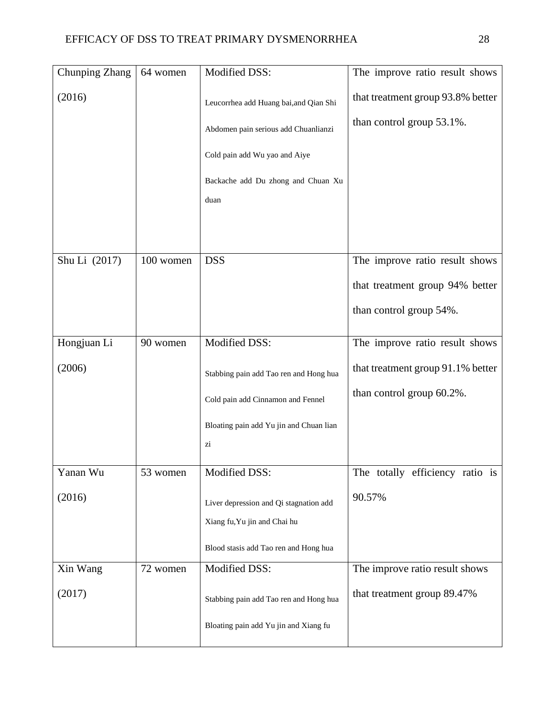| Chunping Zhang | 64 women  | Modified DSS:                                                                                                                                                 | The improve ratio result shows                                 |
|----------------|-----------|---------------------------------------------------------------------------------------------------------------------------------------------------------------|----------------------------------------------------------------|
| (2016)         |           | Leucorrhea add Huang bai, and Qian Shi<br>Abdomen pain serious add Chuanlianzi<br>Cold pain add Wu yao and Aiye<br>Backache add Du zhong and Chuan Xu<br>duan | that treatment group 93.8% better<br>than control group 53.1%. |
| Shu Li (2017)  | 100 women | <b>DSS</b>                                                                                                                                                    | The improve ratio result shows                                 |
|                |           |                                                                                                                                                               | that treatment group 94% better                                |
|                |           |                                                                                                                                                               | than control group 54%.                                        |
| Hongjuan Li    | 90 women  | Modified DSS:                                                                                                                                                 | The improve ratio result shows                                 |
| (2006)         |           | Stabbing pain add Tao ren and Hong hua                                                                                                                        | that treatment group 91.1% better                              |
|                |           | Cold pain add Cinnamon and Fennel                                                                                                                             | than control group 60.2%.                                      |
|                |           | Bloating pain add Yu jin and Chuan lian                                                                                                                       |                                                                |
|                |           | zi                                                                                                                                                            |                                                                |
| Yanan Wu       | 53 women  | Modified DSS:                                                                                                                                                 | The totally efficiency ratio is                                |
| (2016)         |           | Liver depression and Qi stagnation add<br>Xiang fu, Yu jin and Chai hu                                                                                        | 90.57%                                                         |
|                |           | Blood stasis add Tao ren and Hong hua                                                                                                                         |                                                                |
| Xin Wang       | 72 women  | Modified DSS:                                                                                                                                                 | The improve ratio result shows                                 |
| (2017)         |           | Stabbing pain add Tao ren and Hong hua                                                                                                                        | that treatment group 89.47%                                    |
|                |           | Bloating pain add Yu jin and Xiang fu                                                                                                                         |                                                                |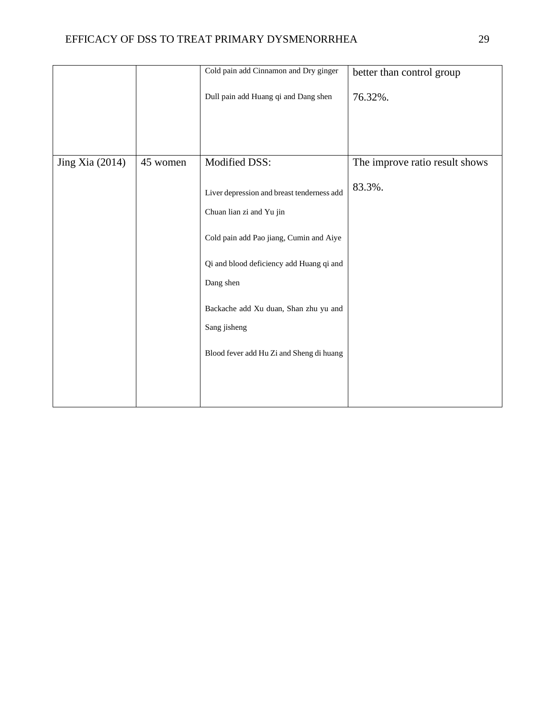|                 |          | Cold pain add Cinnamon and Dry ginger                                                                                                                                                                                                                                           | better than control group      |
|-----------------|----------|---------------------------------------------------------------------------------------------------------------------------------------------------------------------------------------------------------------------------------------------------------------------------------|--------------------------------|
|                 |          | Dull pain add Huang qi and Dang shen                                                                                                                                                                                                                                            | 76.32%.                        |
| Jing Xia (2014) | 45 women | Modified DSS:                                                                                                                                                                                                                                                                   | The improve ratio result shows |
|                 |          | Liver depression and breast tenderness add<br>Chuan lian zi and Yu jin<br>Cold pain add Pao jiang, Cumin and Aiye<br>Qi and blood deficiency add Huang qi and<br>Dang shen<br>Backache add Xu duan, Shan zhu yu and<br>Sang jisheng<br>Blood fever add Hu Zi and Sheng di huang | 83.3%.                         |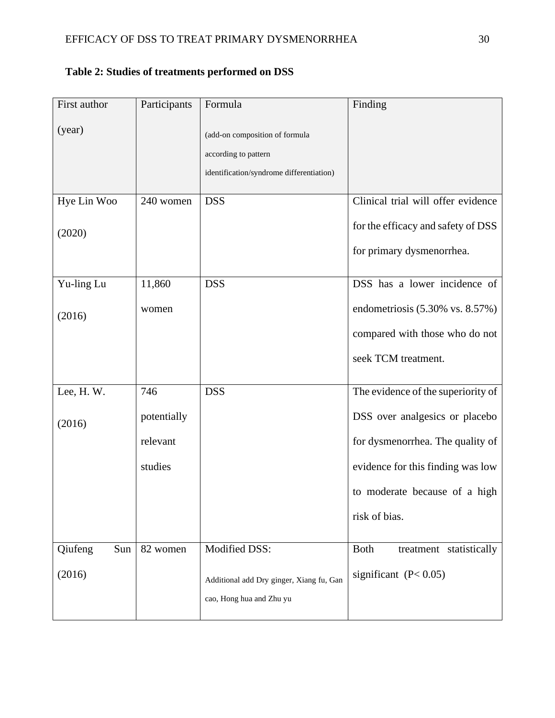| First author   | Participants | Formula                                  | Finding                                |
|----------------|--------------|------------------------------------------|----------------------------------------|
| (year)         |              | (add-on composition of formula           |                                        |
|                |              | according to pattern                     |                                        |
|                |              | identification/syndrome differentiation) |                                        |
|                |              |                                          |                                        |
| Hye Lin Woo    | 240 women    | <b>DSS</b>                               | Clinical trial will offer evidence     |
| (2020)         |              |                                          | for the efficacy and safety of DSS     |
|                |              |                                          | for primary dysmenorrhea.              |
| Yu-ling Lu     | 11,860       | <b>DSS</b>                               | DSS has a lower incidence of           |
|                |              |                                          |                                        |
| (2016)         | women        |                                          | endometriosis $(5.30\%$ vs. $8.57\%)$  |
|                |              |                                          | compared with those who do not         |
|                |              |                                          | seek TCM treatment.                    |
|                |              |                                          |                                        |
| Lee, H.W.      | 746          | <b>DSS</b>                               | The evidence of the superiority of     |
| (2016)         | potentially  |                                          | DSS over analgesics or placebo         |
|                | relevant     |                                          | for dysmenorrhea. The quality of       |
|                | studies      |                                          | evidence for this finding was low      |
|                |              |                                          | to moderate because of a high          |
|                |              |                                          | risk of bias.                          |
| Qiufeng<br>Sun | 82 women     | Modified DSS:                            | <b>Both</b><br>treatment statistically |
|                |              |                                          |                                        |
| (2016)         |              | Additional add Dry ginger, Xiang fu, Gan | significant $(P< 0.05)$                |
|                |              | cao, Hong hua and Zhu yu                 |                                        |
|                |              |                                          |                                        |

# **Table 2: Studies of treatments performed on DSS**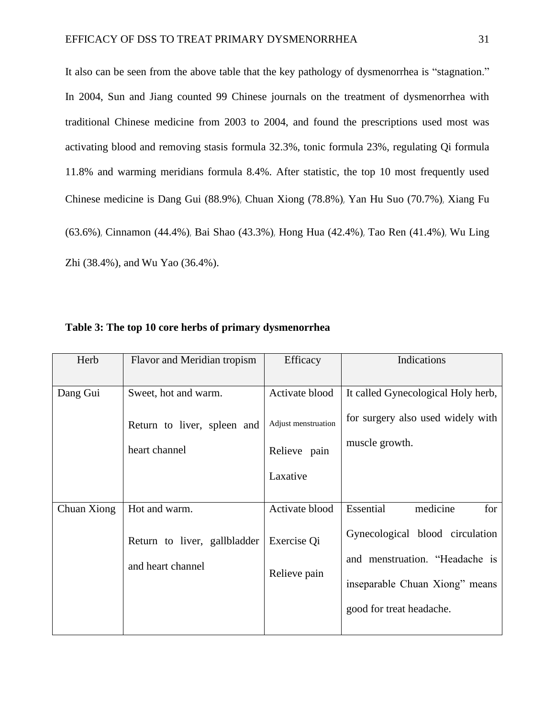It also can be seen from the above table that the key pathology of dysmenorrhea is "stagnation." In 2004, Sun and Jiang counted 99 Chinese journals on the treatment of dysmenorrhea with traditional Chinese medicine from 2003 to 2004, and found the prescriptions used most was activating blood and removing stasis formula 32.3%, tonic formula 23%, regulating Qi formula 11.8% and warming meridians formula 8.4%. After statistic, the top 10 most frequently used Chinese medicine is Dang Gui (88.9%), Chuan Xiong (78.8%), Yan Hu Suo (70.7%), Xiang Fu (63.6%), Cinnamon (44.4%), Bai Shao (43.3%), Hong Hua (42.4%), Tao Ren (41.4%), Wu Ling Zhi (38.4%), and Wu Yao (36.4%).

| Herb        | Flavor and Meridian tropism  | Efficacy            | Indications                        |
|-------------|------------------------------|---------------------|------------------------------------|
| Dang Gui    | Sweet, hot and warm.         | Activate blood      | It called Gynecological Holy herb, |
|             | Return to liver, spleen and  | Adjust menstruation | for surgery also used widely with  |
|             | heart channel                | Relieve pain        | muscle growth.                     |
|             |                              | Laxative            |                                    |
| Chuan Xiong | Hot and warm.                | Activate blood      | medicine<br>Essential<br>for       |
|             | Return to liver, gallbladder | Exercise Qi         | Gynecological blood circulation    |
|             | and heart channel            | Relieve pain        | and menstruation. "Headache is     |
|             |                              |                     | inseparable Chuan Xiong" means     |
|             |                              |                     | good for treat headache.           |
|             |                              |                     |                                    |

**Table 3: The top 10 core herbs of primary dysmenorrhea**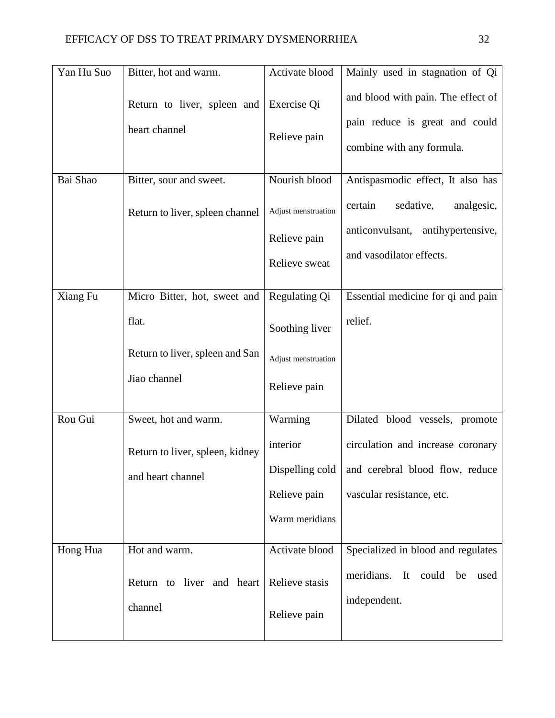| Yan Hu Suo | Bitter, hot and warm.                        | Activate blood                                       | Mainly used in stagnation of Qi                                                                        |
|------------|----------------------------------------------|------------------------------------------------------|--------------------------------------------------------------------------------------------------------|
|            | Return to liver, spleen and<br>heart channel | Exercise Qi<br>Relieve pain                          | and blood with pain. The effect of<br>pain reduce is great and could<br>combine with any formula.      |
| Bai Shao   | Bitter, sour and sweet.                      | Nourish blood                                        | Antispasmodic effect, It also has                                                                      |
|            | Return to liver, spleen channel              | Adjust menstruation<br>Relieve pain<br>Relieve sweat | certain<br>sedative,<br>analgesic,<br>anticonvulsant,<br>antihypertensive,<br>and vasodilator effects. |
| Xiang Fu   | Micro Bitter, hot, sweet and                 | Regulating Qi                                        | Essential medicine for qi and pain                                                                     |
|            | flat.                                        | Soothing liver                                       | relief.                                                                                                |
|            | Return to liver, spleen and San              | Adjust menstruation                                  |                                                                                                        |
|            | Jiao channel                                 | Relieve pain                                         |                                                                                                        |
| Rou Gui    | Sweet, hot and warm.                         | Warming                                              | Dilated blood vessels, promote                                                                         |
|            | Return to liver, spleen, kidney              | interior                                             | circulation and increase coronary                                                                      |
|            | and heart channel                            |                                                      | Dispelling cold   and cerebral blood flow, reduce                                                      |
|            |                                              | Relieve pain                                         | vascular resistance, etc.                                                                              |
|            |                                              | Warm meridians                                       |                                                                                                        |
| Hong Hua   | Hot and warm.                                | Activate blood                                       | Specialized in blood and regulates                                                                     |
|            | Return to liver and heart                    | Relieve stasis                                       | meridians. It could be<br>used<br>independent.                                                         |
|            | channel                                      | Relieve pain                                         |                                                                                                        |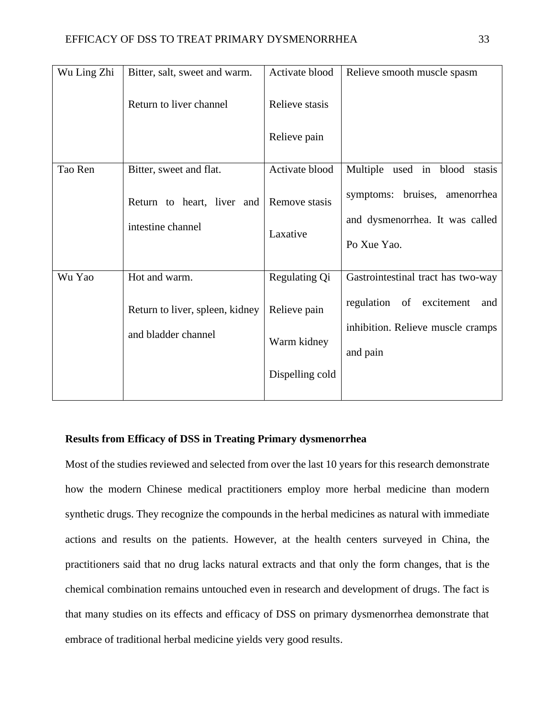| Wu Ling Zhi | Bitter, salt, sweet and warm.                          | Activate blood              | Relieve smooth muscle spasm                                                      |
|-------------|--------------------------------------------------------|-----------------------------|----------------------------------------------------------------------------------|
|             | Return to liver channel                                | Relieve stasis              |                                                                                  |
|             |                                                        | Relieve pain                |                                                                                  |
| Tao Ren     | Bitter, sweet and flat.                                | Activate blood              | Multiple used in blood stasis                                                    |
|             | Return to heart, liver and<br>intestine channel        | Remove stasis<br>Laxative   | symptoms: bruises, amenorrhea<br>and dysmenorrhea. It was called<br>Po Xue Yao.  |
| Wu Yao      | Hot and warm.                                          | Regulating Qi               | Gastrointestinal tract has two-way                                               |
|             | Return to liver, spleen, kidney<br>and bladder channel | Relieve pain<br>Warm kidney | regulation of excitement<br>and<br>inhibition. Relieve muscle cramps<br>and pain |
|             |                                                        | Dispelling cold             |                                                                                  |
|             |                                                        |                             |                                                                                  |

## <span id="page-32-0"></span>**Results from Efficacy of DSS in Treating Primary dysmenorrhea**

Most of the studies reviewed and selected from over the last 10 years for this research demonstrate how the modern Chinese medical practitioners employ more herbal medicine than modern synthetic drugs. They recognize the compounds in the herbal medicines as natural with immediate actions and results on the patients. However, at the health centers surveyed in China, the practitioners said that no drug lacks natural extracts and that only the form changes, that is the chemical combination remains untouched even in research and development of drugs. The fact is that many studies on its effects and efficacy of DSS on primary dysmenorrhea demonstrate that embrace of traditional herbal medicine yields very good results.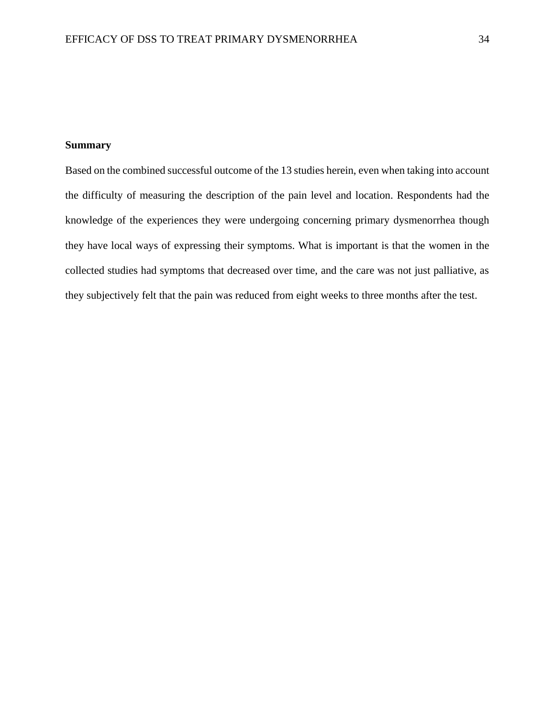## **Summary**

Based on the combined successful outcome of the 13 studies herein, even when taking into account the difficulty of measuring the description of the pain level and location. Respondents had the knowledge of the experiences they were undergoing concerning primary dysmenorrhea though they have local ways of expressing their symptoms. What is important is that the women in the collected studies had symptoms that decreased over time, and the care was not just palliative, as they subjectively felt that the pain was reduced from eight weeks to three months after the test.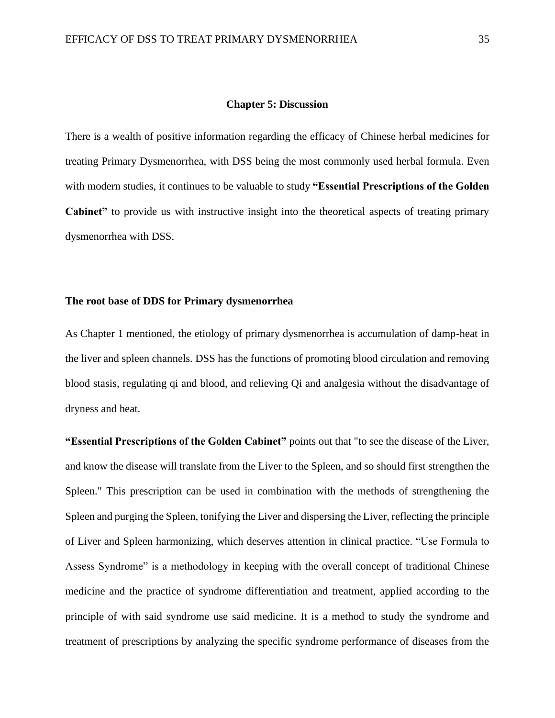#### **Chapter 5: Discussion**

There is a wealth of positive information regarding the efficacy of Chinese herbal medicines for treating Primary Dysmenorrhea, with DSS being the most commonly used herbal formula. Even with modern studies, it continues to be valuable to study **"Essential Prescriptions of the Golden Cabinet"** to provide us with instructive insight into the theoretical aspects of treating primary dysmenorrhea with DSS.

#### **The root base of DDS for Primary dysmenorrhea**

As Chapter 1 mentioned, the etiology of primary dysmenorrhea is accumulation of damp-heat in the liver and spleen channels. DSS has the functions of promoting blood circulation and removing blood stasis, regulating qi and blood, and relieving Qi and analgesia without the disadvantage of dryness and heat.

**"Essential Prescriptions of the Golden Cabinet"** points out that "to see the disease of the Liver, and know the disease will translate from the Liver to the Spleen, and so should first strengthen the Spleen." This prescription can be used in combination with the methods of strengthening the Spleen and purging the Spleen, tonifying the Liver and dispersing the Liver, reflecting the principle of Liver and Spleen harmonizing, which deserves attention in clinical practice. "Use Formula to Assess Syndrome" is a methodology in keeping with the overall concept of traditional Chinese medicine and the practice of syndrome differentiation and treatment, applied according to the principle of with said syndrome use said medicine. It is a method to study the syndrome and treatment of prescriptions by analyzing the specific syndrome performance of diseases from the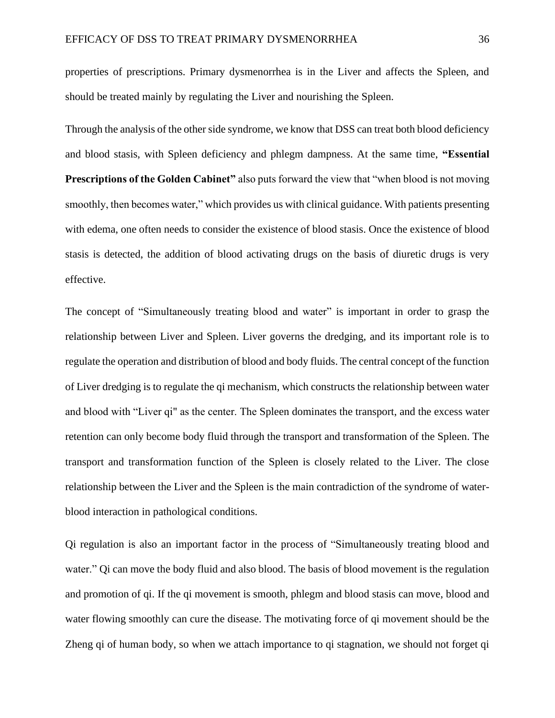properties of prescriptions. Primary dysmenorrhea is in the Liver and affects the Spleen, and should be treated mainly by regulating the Liver and nourishing the Spleen.

Through the analysis of the other side syndrome, we know that DSS can treat both blood deficiency and blood stasis, with Spleen deficiency and phlegm dampness. At the same time, **"Essential Prescriptions of the Golden Cabinet"** also puts forward the view that "when blood is not moving smoothly, then becomes water," which provides us with clinical guidance. With patients presenting with edema, one often needs to consider the existence of blood stasis. Once the existence of blood stasis is detected, the addition of blood activating drugs on the basis of diuretic drugs is very effective.

The concept of "Simultaneously treating blood and water" is important in order to grasp the relationship between Liver and Spleen. Liver governs the dredging, and its important role is to regulate the operation and distribution of blood and body fluids. The central concept of the function of Liver dredging is to regulate the qi mechanism, which constructs the relationship between water and blood with "Liver qi" as the center. The Spleen dominates the transport, and the excess water retention can only become body fluid through the transport and transformation of the Spleen. The transport and transformation function of the Spleen is closely related to the Liver. The close relationship between the Liver and the Spleen is the main contradiction of the syndrome of waterblood interaction in pathological conditions.

Qi regulation is also an important factor in the process of "Simultaneously treating blood and water." Qi can move the body fluid and also blood. The basis of blood movement is the regulation and promotion of qi. If the qi movement is smooth, phlegm and blood stasis can move, blood and water flowing smoothly can cure the disease. The motivating force of qi movement should be the Zheng qi of human body, so when we attach importance to qi stagnation, we should not forget qi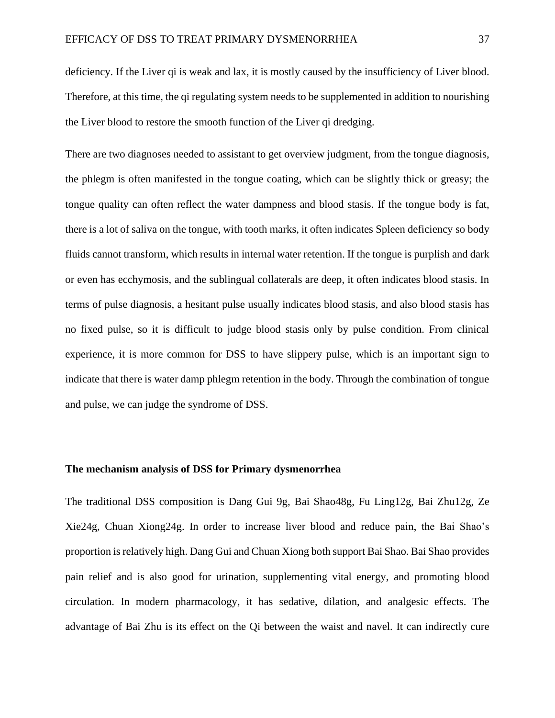deficiency. If the Liver qi is weak and lax, it is mostly caused by the insufficiency of Liver blood. Therefore, at this time, the qi regulating system needs to be supplemented in addition to nourishing the Liver blood to restore the smooth function of the Liver qi dredging.

There are two diagnoses needed to assistant to get overview judgment, from the tongue diagnosis, the phlegm is often manifested in the tongue coating, which can be slightly thick or greasy; the tongue quality can often reflect the water dampness and blood stasis. If the tongue body is fat, there is a lot of saliva on the tongue, with tooth marks, it often indicates Spleen deficiency so body fluids cannot transform, which results in internal water retention. If the tongue is purplish and dark or even has ecchymosis, and the sublingual collaterals are deep, it often indicates blood stasis. In terms of pulse diagnosis, a hesitant pulse usually indicates blood stasis, and also blood stasis has no fixed pulse, so it is difficult to judge blood stasis only by pulse condition. From clinical experience, it is more common for DSS to have slippery pulse, which is an important sign to indicate that there is water damp phlegm retention in the body. Through the combination of tongue and pulse, we can judge the syndrome of DSS.

#### **The mechanism analysis of DSS for Primary dysmenorrhea**

The traditional DSS composition is Dang Gui 9g, Bai Shao48g, Fu Ling12g, Bai Zhu12g, Ze Xie24g, Chuan Xiong24g. In order to increase liver blood and reduce pain, the Bai Shao's proportion is relatively high. Dang Gui and Chuan Xiong both support Bai Shao. Bai Shao provides pain relief and is also good for urination, supplementing vital energy, and promoting blood circulation. In modern pharmacology, it has sedative, dilation, and analgesic effects. The advantage of Bai Zhu is its effect on the Qi between the waist and navel. It can indirectly cure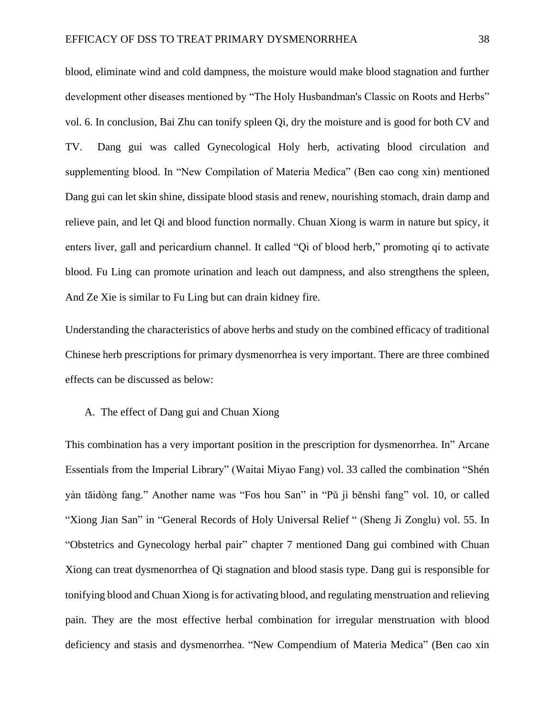blood, eliminate wind and cold dampness, the moisture would make blood stagnation and further development other diseases mentioned by "The Holy Husbandman's Classic on Roots and Herbs" vol. 6. In conclusion, Bai Zhu can tonify spleen Qi, dry the moisture and is good for both CV and TV. Dang gui was called Gynecological Holy herb, activating blood circulation and supplementing blood. In "New Compilation of Materia Medica" (Ben cao cong xin) mentioned Dang gui can let skin shine, dissipate blood stasis and renew, nourishing stomach, drain damp and relieve pain, and let Qi and blood function normally. Chuan Xiong is warm in nature but spicy, it enters liver, gall and pericardium channel. It called "Qi of blood herb," promoting qi to activate blood. Fu Ling can promote urination and leach out dampness, and also strengthens the spleen, And Ze Xie is similar to Fu Ling but can drain kidney fire.

Understanding the characteristics of above herbs and study on the combined efficacy of traditional Chinese herb prescriptions for primary dysmenorrhea is very important. There are three combined effects can be discussed as below:

#### A. The effect of Dang gui and Chuan Xiong

This combination has a very important position in the prescription for dysmenorrhea. In" Arcane Essentials from the Imperial Library" (Waitai Miyao Fang) vol. 33 called the combination "Shén yàn tāidòng fang." Another name was "Fos [hou San"](http://dict.cn/Pharmacology%20Study%20on%20Foshou%20San) in "Pǔ jì běnshì fang" vol. 10, or called "Xiong Jian San" in "General Records of Holy Universal Relief " (Sheng Ji Zonglu) vol. 55. In "Obstetrics and Gynecology herbal pair" chapter 7 mentioned Dang gui combined with Chuan Xiong can treat dysmenorrhea of Qi stagnation and blood stasis type. Dang gui is responsible for tonifying blood and Chuan Xiong is for activating blood, and regulating menstruation and relieving pain. They are the most effective herbal combination for irregular menstruation with blood deficiency and stasis and dysmenorrhea. "New Compendium of Materia Medica" (Ben cao xin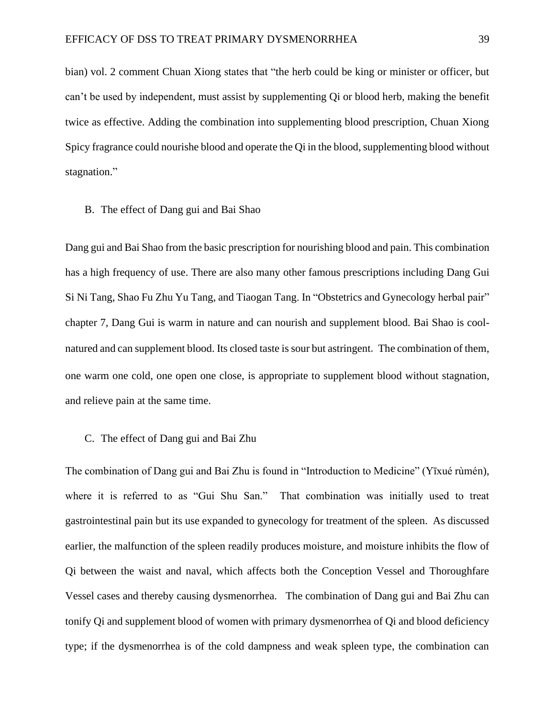bian) vol. 2 comment Chuan Xiong states that "the herb could be king or minister or officer, but can't be used by independent, must assist by supplementing Qi or blood herb, making the benefit twice as effective. Adding the combination into supplementing blood prescription, Chuan Xiong Spicy fragrance could nourishe blood and operate the Qi in the blood, supplementing blood without stagnation."

#### B. The effect of Dang gui and Bai Shao

Dang gui and Bai Shao from the basic prescription for nourishing blood and pain. This combination has a high frequency of use. There are also many other famous prescriptions including Dang Gui Si Ni Tang, Shao Fu Zhu Yu Tang, and Tiaogan Tang. In "Obstetrics and Gynecology herbal pair" chapter 7, Dang Gui is warm in nature and can nourish and supplement blood. Bai Shao is coolnatured and can supplement blood. Its closed taste is sour but astringent. The combination of them, one warm one cold, one open one close, is appropriate to supplement blood without stagnation, and relieve pain at the same time.

#### C. The effect of Dang gui and Bai Zhu

The combination of Dang gui and Bai Zhu is found in "Introduction to Medicine" (Yīxué rùmén), where it is referred to as "Gui Shu San." That combination was initially used to treat gastrointestinal pain but its use expanded to gynecology for treatment of the spleen. As discussed earlier, the malfunction of the spleen readily produces moisture, and moisture inhibits the flow of Qi between the waist and naval, which affects both the Conception Vessel and Thoroughfare Vessel cases and thereby causing dysmenorrhea. The combination of Dang gui and Bai Zhu can tonify Qi and supplement blood of women with primary dysmenorrhea of Qi and blood deficiency type; if the dysmenorrhea is of the cold dampness and weak spleen type, the combination can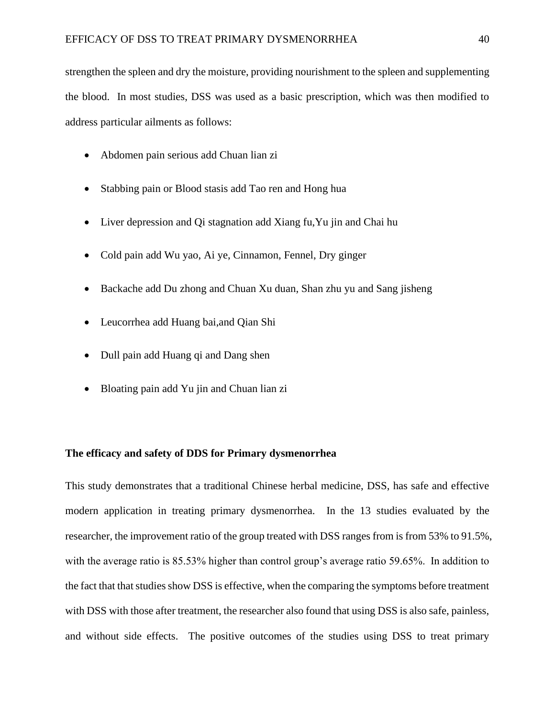strengthen the spleen and dry the moisture, providing nourishment to the spleen and supplementing the blood. In most studies, DSS was used as a basic prescription, which was then modified to address particular ailments as follows:

- Abdomen pain serious add Chuan lian zi
- Stabbing pain or Blood stasis add Tao ren and Hong hua
- Liver depression and Qi stagnation add Xiang fu, Yu jin and Chai hu
- Cold pain add Wu yao, Ai ye, Cinnamon, Fennel, Dry ginger
- Backache add Du zhong and Chuan Xu duan, Shan zhu yu and Sang jisheng
- Leucorrhea add Huang bai,and Qian Shi
- Dull pain add Huang qi and Dang shen
- Bloating pain add Yu jin and Chuan lian zi

#### **The efficacy and safety of DDS for Primary dysmenorrhea**

This study demonstrates that a traditional Chinese herbal medicine, DSS, has safe and effective modern application in treating primary dysmenorrhea. In the 13 studies evaluated by the researcher, the improvement ratio of the group treated with DSS ranges from is from 53% to 91.5%, with the average ratio is 85.53% higher than control group's average ratio 59.65%. In addition to the fact that that studies show DSS is effective, when the comparing the symptoms before treatment with DSS with those after treatment, the researcher also found that using DSS is also safe, painless, and without side effects. The positive outcomes of the studies using DSS to treat primary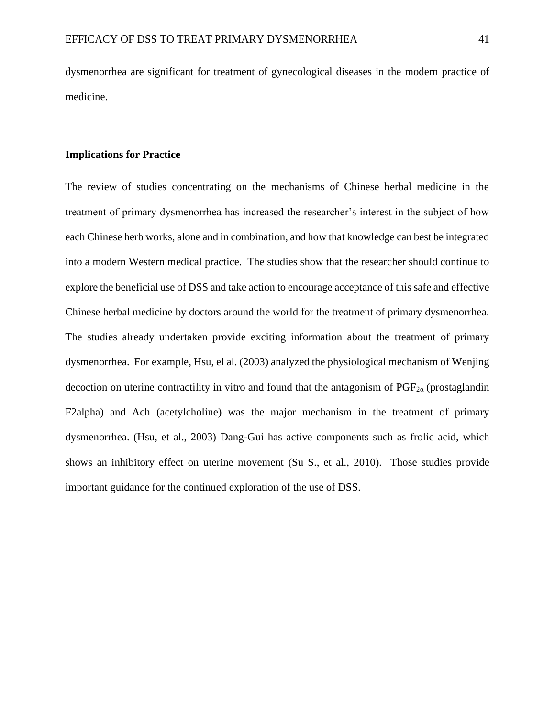dysmenorrhea are significant for treatment of gynecological diseases in the modern practice of medicine.

#### **Implications for Practice**

The review of studies concentrating on the mechanisms of Chinese herbal medicine in the treatment of primary dysmenorrhea has increased the researcher's interest in the subject of how each Chinese herb works, alone and in combination, and how that knowledge can best be integrated into a modern Western medical practice. The studies show that the researcher should continue to explore the beneficial use of DSS and take action to encourage acceptance of this safe and effective Chinese herbal medicine by doctors around the world for the treatment of primary dysmenorrhea. The studies already undertaken provide exciting information about the treatment of primary dysmenorrhea. For example, Hsu, el al. (2003) analyzed the physiological mechanism of Wenjing decoction on uterine contractility in vitro and found that the antagonism of  $PGF_{2\alpha}$  (prostaglandin F2alpha) and Ach (acetylcholine) was the major mechanism in the treatment of primary dysmenorrhea. (Hsu, et al., 2003) Dang-Gui has active components such as frolic acid, which shows an inhibitory effect on uterine movement (Su S., et al., 2010). Those studies provide important guidance for the continued exploration of the use of DSS.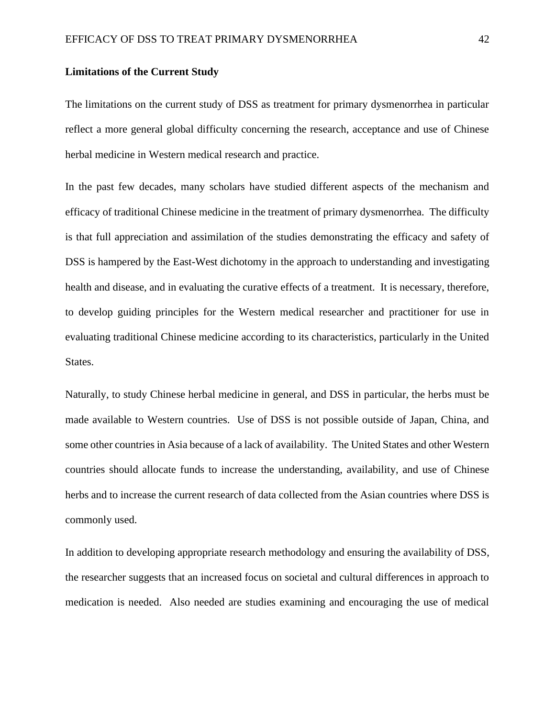#### <span id="page-41-0"></span>**Limitations of the Current Study**

The limitations on the current study of DSS as treatment for primary dysmenorrhea in particular reflect a more general global difficulty concerning the research, acceptance and use of Chinese herbal medicine in Western medical research and practice.

In the past few decades, many scholars have studied different aspects of the mechanism and efficacy of traditional Chinese medicine in the treatment of primary dysmenorrhea. The difficulty is that full appreciation and assimilation of the studies demonstrating the efficacy and safety of DSS is hampered by the East-West dichotomy in the approach to understanding and investigating health and disease, and in evaluating the curative effects of a treatment. It is necessary, therefore, to develop guiding principles for the Western medical researcher and practitioner for use in evaluating traditional Chinese medicine according to its characteristics, particularly in the United States.

Naturally, to study Chinese herbal medicine in general, and DSS in particular, the herbs must be made available to Western countries. Use of DSS is not possible outside of Japan, China, and some other countries in Asia because of a lack of availability. The United States and other Western countries should allocate funds to increase the understanding, availability, and use of Chinese herbs and to increase the current research of data collected from the Asian countries where DSS is commonly used.

In addition to developing appropriate research methodology and ensuring the availability of DSS, the researcher suggests that an increased focus on societal and cultural differences in approach to medication is needed. Also needed are studies examining and encouraging the use of medical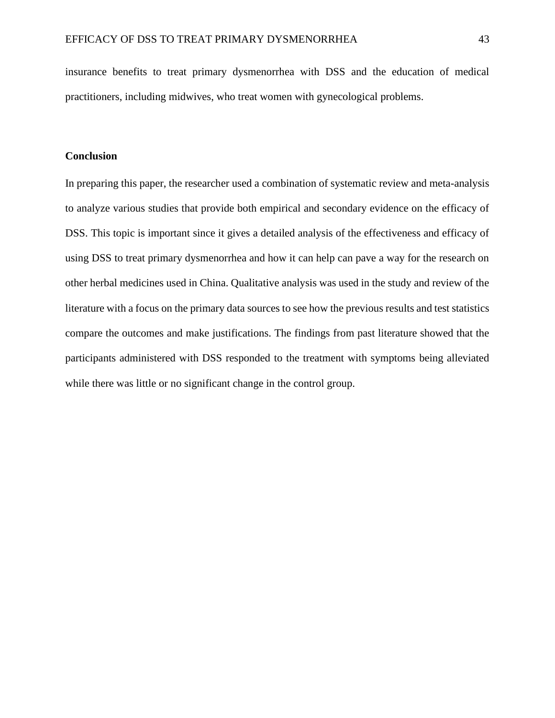insurance benefits to treat primary dysmenorrhea with DSS and the education of medical practitioners, including midwives, who treat women with gynecological problems.

### **Conclusion**

In preparing this paper, the researcher used a combination of systematic review and meta-analysis to analyze various studies that provide both empirical and secondary evidence on the efficacy of DSS. This topic is important since it gives a detailed analysis of the effectiveness and efficacy of using DSS to treat primary dysmenorrhea and how it can help can pave a way for the research on other herbal medicines used in China. Qualitative analysis was used in the study and review of the literature with a focus on the primary data sources to see how the previous results and test statistics compare the outcomes and make justifications. The findings from past literature showed that the participants administered with DSS responded to the treatment with symptoms being alleviated while there was little or no significant change in the control group.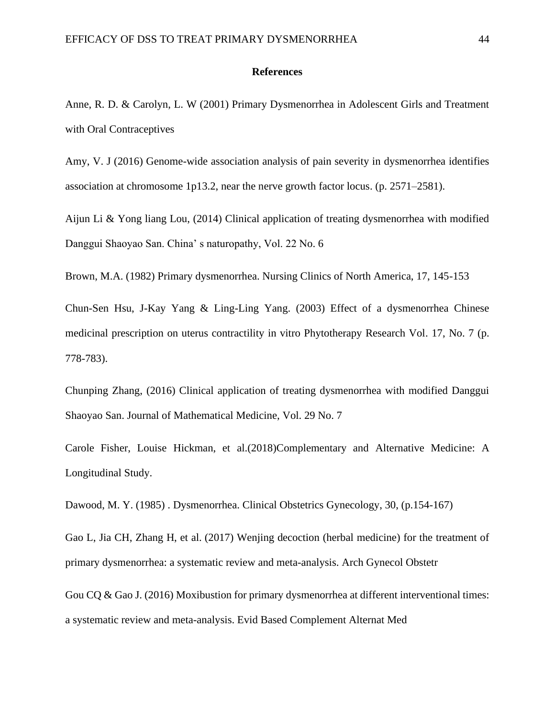#### **References**

Anne, R. D. & Carolyn, L. W (2001) Primary Dysmenorrhea in Adolescent Girls and Treatment with Oral Contraceptives

Amy, V. J (2016) Genome-wide association analysis of pain severity in dysmenorrhea identifies association at chromosome 1p13.2, near the nerve growth factor locus. (p. 2571–2581).

Aijun Li & Yong liang Lou, (2014) Clinical application of treating dysmenorrhea with modified Danggui Shaoyao San. China' s naturopathy, Vol. 22 No. 6

Brown, M.A. (1982) Primary dysmenorrhea. Nursing Clinics of North America, 17, 145-153

Chun-Sen Hsu, J-Kay Yang & Ling-Ling Yang. (2003) Effect of a dysmenorrhea Chinese medicinal prescription on uterus contractility in vitro Phytotherapy Research Vol. 17, No. 7 (p. 778-783).

Chunping Zhang, (2016) Clinical application of treating dysmenorrhea with modified Danggui Shaoyao San. Journal of Mathematical Medicine, Vol. 29 No. 7

Carole Fisher, Louise Hickman, et al.(2018)Complementary and Alternative Medicine: A Longitudinal Study.

Dawood, M. Y. (1985) . Dysmenorrhea. Clinical Obstetrics Gynecology, 30, (p.154-167)

Gao L, Jia CH, Zhang H, et al. (2017) Wenjing decoction (herbal medicine) for the treatment of primary dysmenorrhea: a systematic review and meta-analysis. Arch Gynecol Obstetr

Gou CQ & Gao J. (2016) Moxibustion for primary dysmenorrhea at different interventional times: a systematic review and meta-analysis. Evid Based Complement Alternat Med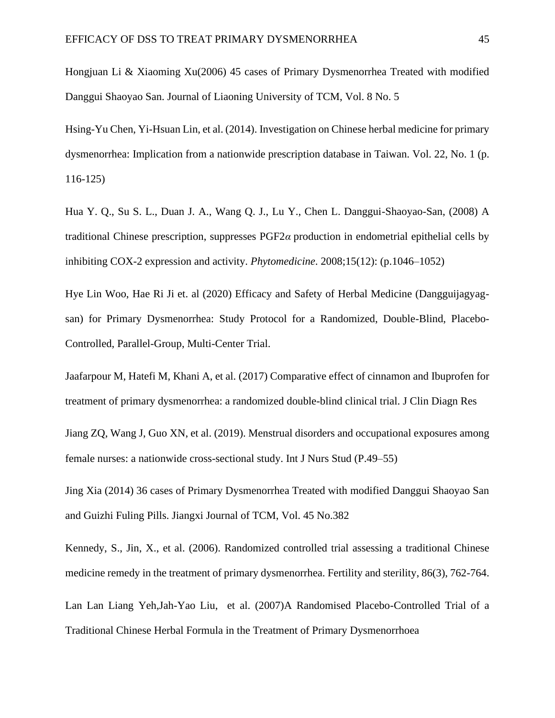Hongjuan Li & Xiaoming Xu(2006) 45 cases of Primary Dysmenorrhea Treated with modified Danggui Shaoyao San. Journal of Liaoning University of TCM, Vol. 8 No. 5

Hsing-Yu Chen, Yi-Hsuan Lin, et al. (2014). Investigation on Chinese herbal medicine for primary dysmenorrhea: Implication from a nationwide prescription database in Taiwan. Vol. 22, No. 1 (p. 116-125)

Hua Y. Q., Su S. L., Duan J. A., Wang Q. J., Lu Y., Chen L. Danggui-Shaoyao-San, (2008) A traditional Chinese prescription, suppresses PGF2*α* production in endometrial epithelial cells by inhibiting COX-2 expression and activity. *Phytomedicine*. 2008;15(12): (p.1046–1052)

Hye Lin Woo, Hae Ri Ji et. al (2020) Efficacy and Safety of Herbal Medicine (Dangguijagyagsan) for Primary Dysmenorrhea: Study Protocol for a Randomized, Double-Blind, Placebo-Controlled, Parallel-Group, Multi-Center Trial.

Jaafarpour M, Hatefi M, Khani A, et al. (2017) Comparative effect of cinnamon and Ibuprofen for treatment of primary dysmenorrhea: a randomized double-blind clinical trial. J Clin Diagn Res

Jiang ZQ, Wang J, Guo XN, et al. (2019). Menstrual disorders and occupational exposures among female nurses: a nationwide cross-sectional study. Int J Nurs Stud (P.49–55)

Jing Xia (2014) 36 cases of Primary Dysmenorrhea Treated with modified Danggui Shaoyao San and Guizhi Fuling Pills. Jiangxi Journal of TCM, Vol. 45 No.382

Kennedy, S., Jin, X., et al. (2006). Randomized controlled trial assessing a traditional Chinese medicine remedy in the treatment of primary dysmenorrhea. Fertility and sterility, 86(3), 762-764. Lan Lan Liang Yeh,Jah-Yao Liu, et al. (2007)A Randomised Placebo-Controlled Trial of a Traditional Chinese Herbal Formula in the Treatment of Primary Dysmenorrhoea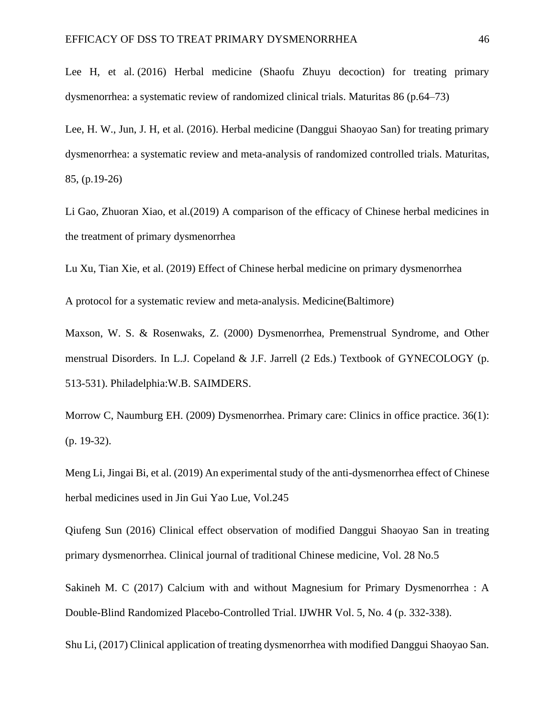Lee H, et al. (2016) Herbal medicine (Shaofu Zhuyu decoction) for treating primary dysmenorrhea: a systematic review of randomized clinical trials. Maturitas 86 (p.64–73)

Lee, H. W., Jun, J. H, et al. (2016). Herbal medicine (Danggui Shaoyao San) for treating primary dysmenorrhea: a systematic review and meta-analysis of randomized controlled trials. Maturitas, 85, (p.19-26)

Li Gao, Zhuoran Xiao, et al.(2019) A comparison of the efficacy of Chinese herbal medicines in the treatment of primary dysmenorrhea

Lu Xu, Tian Xie, et al. (2019) Effect of Chinese herbal medicine on primary dysmenorrhea

A protocol for a systematic review and meta-analysis. Medicine(Baltimore)

Maxson, W. S. & Rosenwaks, Z. (2000) Dysmenorrhea, Premenstrual Syndrome, and Other menstrual Disorders. In L.J. Copeland & J.F. Jarrell (2 Eds.) Textbook of GYNECOLOGY (p. 513-531). Philadelphia:W.B. SAIMDERS.

Morrow C, Naumburg EH. (2009) Dysmenorrhea. Primary care: Clinics in office practice. 36(1): (p. 19-32).

Meng Li, Jingai Bi, et al. (2019) An experimental study of the anti-dysmenorrhea effect of Chinese herbal medicines used in Jin Gui Yao Lue, Vol.245

Qiufeng Sun (2016) Clinical effect observation of modified Danggui Shaoyao San in treating primary dysmenorrhea. Clinical journal of traditional Chinese medicine, Vol. 28 No.5

Sakineh M. C (2017) Calcium with and without Magnesium for Primary Dysmenorrhea : A Double-Blind Randomized Placebo-Controlled Trial. IJWHR Vol. 5, No. 4 (p. 332-338).

Shu Li, (2017) Clinical application of treating dysmenorrhea with modified Danggui Shaoyao San.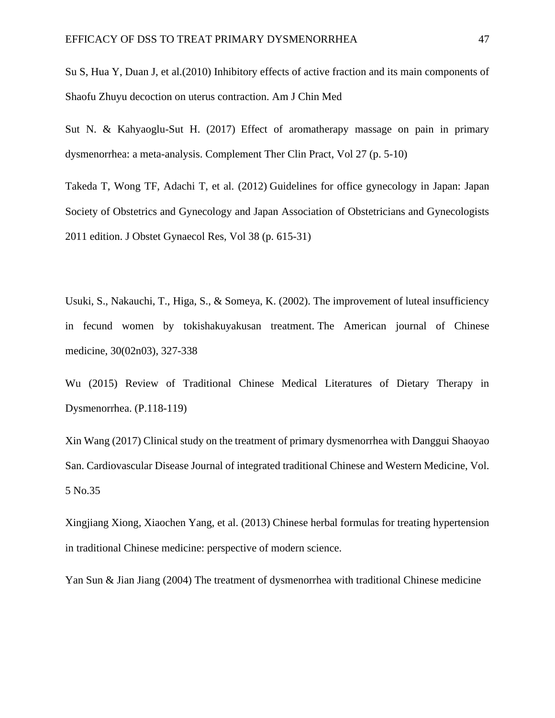Su S, Hua Y, Duan J, et al.(2010) Inhibitory effects of active fraction and its main components of Shaofu Zhuyu decoction on uterus contraction. Am J Chin Med

Sut N. & Kahyaoglu-Sut H. (2017) Effect of aromatherapy massage on pain in primary dysmenorrhea: a meta-analysis. Complement Ther Clin Pract, Vol 27 (p. 5-10)

Takeda T, Wong TF, Adachi T, et al. (2012) Guidelines for office gynecology in Japan: Japan Society of Obstetrics and Gynecology and Japan Association of Obstetricians and Gynecologists 2011 edition. J Obstet Gynaecol Res, Vol 38 (p. 615-31)

Usuki, S., Nakauchi, T., Higa, S., & Someya, K. (2002). The improvement of luteal insufficiency in fecund women by tokishakuyakusan treatment. The American journal of Chinese medicine, 30(02n03), 327-338

Wu (2015) Review of Traditional Chinese Medical Literatures of Dietary Therapy in Dysmenorrhea. (P.118-119)

Xin Wang (2017) Clinical study on the treatment of primary dysmenorrhea with Danggui Shaoyao San. Cardiovascular Disease Journal of integrated traditional Chinese and Western Medicine, Vol. 5 No.35

Xingjiang Xiong, Xiaochen Yang, et al. (2013) Chinese herbal formulas for treating hypertension in traditional Chinese medicine: perspective of modern science.

Yan Sun & Jian Jiang (2004) The treatment of dysmenorrhea with traditional Chinese medicine